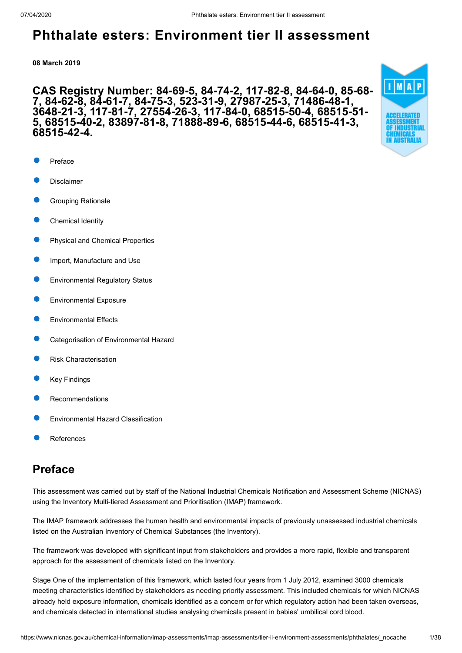**08 March 2019**

### **CAS Registry Number: 84-69-5, 84-74-2, 117-82-8, 84-64-0, 85-68- 7, 84-62-8, 84-61-7, 84-75-3, 523-31-9, 27987-25-3, 71486-48-1, 3648-21-3, 117-81-7, 27554-26-3, 117-84-0, 68515-50-4, 68515-51- 5, 68515-40-2, 83897-81-8, 71888-89-6, 68515-44-6, 68515-41-3, 68515-42-4.**

- [Preface](#page-0-0)
- [Disclaimer](#page-1-0)
- [Grouping Rationale](#page-1-1)
- [Chemical Identity](#page-2-0)
- [Physical and Chemical Properties](#page-18-0)
- [Import, Manufacture and Use](#page-19-0)
- [Environmental Regulatory Status](#page-20-0)
- [Environmental Exposure](#page-22-0)
- [Environmental Effects](#page-25-0)
- [Categorisation of Environmental Hazard](#page-29-0)
- [Risk Characterisation](#page-30-0)
- [Key Findings](#page-31-0)
- [Recommendations](#page-32-0)
- [Environmental Hazard Classification](#page-32-1)
- [References](#page-33-0)

## <span id="page-0-0"></span>**Preface**

This assessment was carried out by staff of the National Industrial Chemicals Notification and Assessment Scheme (NICNAS) using the Inventory Multi-tiered Assessment and Prioritisation (IMAP) framework.

The IMAP framework addresses the human health and environmental impacts of previously unassessed industrial chemicals listed on the Australian Inventory of Chemical Substances (the Inventory).

The framework was developed with significant input from stakeholders and provides a more rapid, flexible and transparent approach for the assessment of chemicals listed on the Inventory.

Stage One of the implementation of this framework, which lasted four years from 1 July 2012, examined 3000 chemicals meeting characteristics identified by stakeholders as needing priority assessment. This included chemicals for which NICNAS already held exposure information, chemicals identified as a concern or for which regulatory action had been taken overseas, and chemicals detected in international studies analysing chemicals present in babies' umbilical cord blood.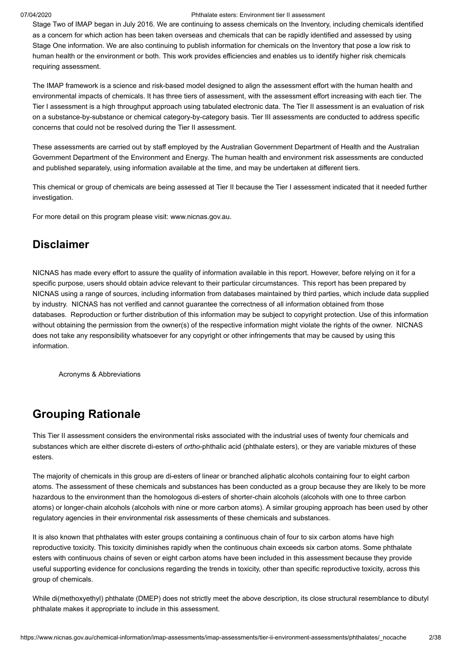Stage Two of IMAP began in July 2016. We are continuing to assess chemicals on the Inventory, including chemicals identified as a concern for which action has been taken overseas and chemicals that can be rapidly identified and assessed by using Stage One information. We are also continuing to publish information for chemicals on the Inventory that pose a low risk to human health or the environment or both. This work provides efficiencies and enables us to identify higher risk chemicals requiring assessment.

The IMAP framework is a science and risk-based model designed to align the assessment effort with the human health and environmental impacts of chemicals. It has three tiers of assessment, with the assessment effort increasing with each tier. The Tier I assessment is a high throughput approach using tabulated electronic data. The Tier II assessment is an evaluation of risk on a substance-by-substance or chemical category-by-category basis. Tier III assessments are conducted to address specific concerns that could not be resolved during the Tier II assessment.

These assessments are carried out by staff employed by the Australian Government Department of Health and the Australian Government Department of the Environment and Energy. The human health and environment risk assessments are conducted and published separately, using information available at the time, and may be undertaken at different tiers.

This chemical or group of chemicals are being assessed at Tier II because the Tier I assessment indicated that it needed further investigation.

For more detail on this program please visit: [www.nicnas.gov.au](https://www.nicnas.gov.au/).

## <span id="page-1-0"></span>**Disclaimer**

NICNAS has made every effort to assure the quality of information available in this report. However, before relying on it for a specific purpose, users should obtain advice relevant to their particular circumstances. This report has been prepared by NICNAS using a range of sources, including information from databases maintained by third parties, which include data supplied by industry. NICNAS has not verified and cannot guarantee the correctness of all information obtained from those databases. Reproduction or further distribution of this information may be subject to copyright protection. Use of this information without obtaining the permission from the owner(s) of the respective information might violate the rights of the owner. NICNAS does not take any responsibility whatsoever for any copyright or other infringements that may be caused by using this information.

[Acronyms & Abbreviations](http://www.nicnas.gov.au/chemical-information/imap-assessments/acronyms-and-abbreviations)

## <span id="page-1-1"></span>**Grouping Rationale**

This Tier II assessment considers the environmental risks associated with the industrial uses of twenty four chemicals and substances which are either discrete di-esters of *ortho*-phthalic acid (phthalate esters), or they are variable mixtures of these esters.

The majority of chemicals in this group are di-esters of linear or branched aliphatic alcohols containing four to eight carbon atoms. The assessment of these chemicals and substances has been conducted as a group because they are likely to be more hazardous to the environment than the homologous di-esters of shorter-chain alcohols (alcohols with one to three carbon atoms) or longer-chain alcohols (alcohols with nine or more carbon atoms). A similar grouping approach has been used by other regulatory agencies in their environmental risk assessments of these chemicals and substances.

It is also known that phthalates with ester groups containing a continuous chain of four to six carbon atoms have high reproductive toxicity. This toxicity diminishes rapidly when the continuous chain exceeds six carbon atoms. Some phthalate esters with continuous chains of seven or eight carbon atoms have been included in this assessment because they provide useful supporting evidence for conclusions regarding the trends in toxicity, other than specific reproductive toxicity, across this group of chemicals.

While di(methoxyethyl) phthalate (DMEP) does not strictly meet the above description, its close structural resemblance to dibutyl phthalate makes it appropriate to include in this assessment.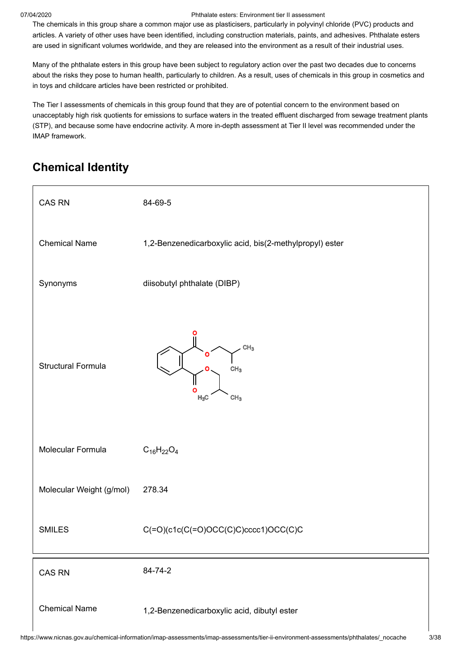The chemicals in this group share a common major use as plasticisers, particularly in polyvinyl chloride (PVC) products and articles. A variety of other uses have been identified, including construction materials, paints, and adhesives. Phthalate esters are used in significant volumes worldwide, and they are released into the environment as a result of their industrial uses.

Many of the phthalate esters in this group have been subject to regulatory action over the past two decades due to concerns about the risks they pose to human health, particularly to children. As a result, uses of chemicals in this group in cosmetics and in toys and childcare articles have been restricted or prohibited.

The Tier I assessments of chemicals in this group found that they are of potential concern to the environment based on unacceptably high risk quotients for emissions to surface waters in the treated effluent discharged from sewage treatment plants (STP), and because some have endocrine activity. A more in-depth assessment at Tier II level was recommended under the IMAP framework.

# <span id="page-2-0"></span>**Chemical Identity**

| <b>CAS RN</b>             | 84-69-5                                                                   |
|---------------------------|---------------------------------------------------------------------------|
| <b>Chemical Name</b>      | 1,2-Benzenedicarboxylic acid, bis(2-methylpropyl) ester                   |
| Synonyms                  | diisobutyl phthalate (DIBP)                                               |
| <b>Structural Formula</b> | CH <sub>3</sub><br>O<br>CH <sub>3</sub><br>Ο<br>$H_3C$<br>CH <sub>3</sub> |
| Molecular Formula         | $C_{16}H_{22}O_4$                                                         |
| Molecular Weight (g/mol)  | 278.34                                                                    |
| <b>SMILES</b>             | $C(=O)(c1c(C(=O)OCC(C)C)cccc1)OCC(C)C$                                    |
| CAS RN                    | 84-74-2                                                                   |
| <b>Chemical Name</b>      | 1,2-Benzenedicarboxylic acid, dibutyl ester                               |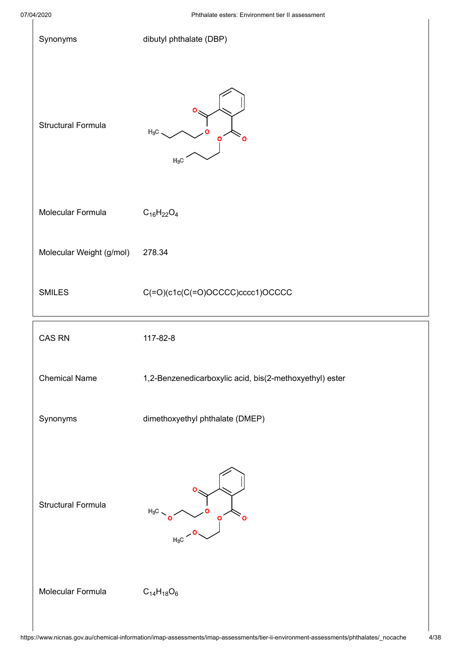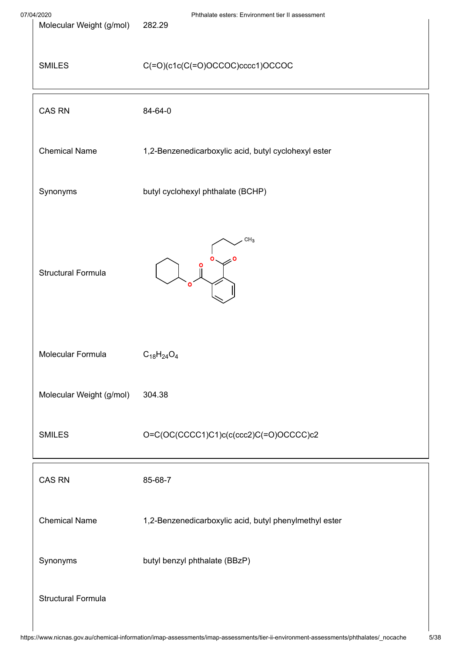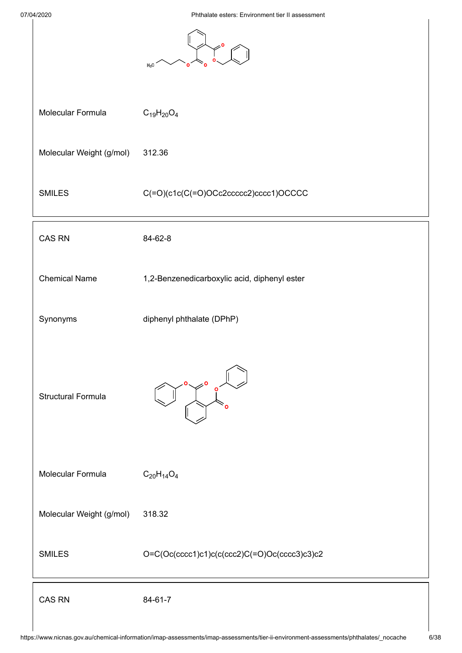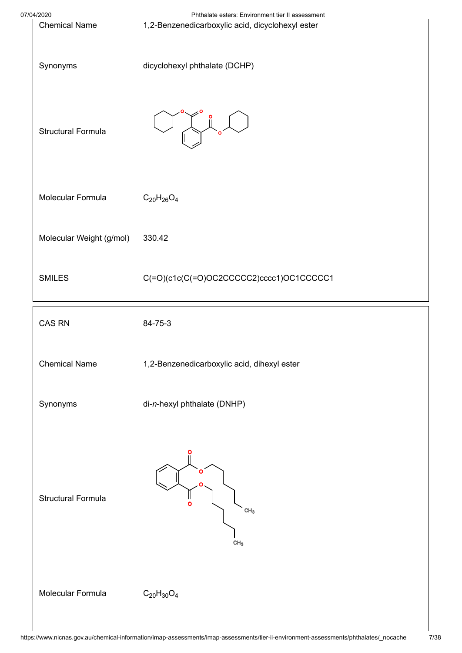

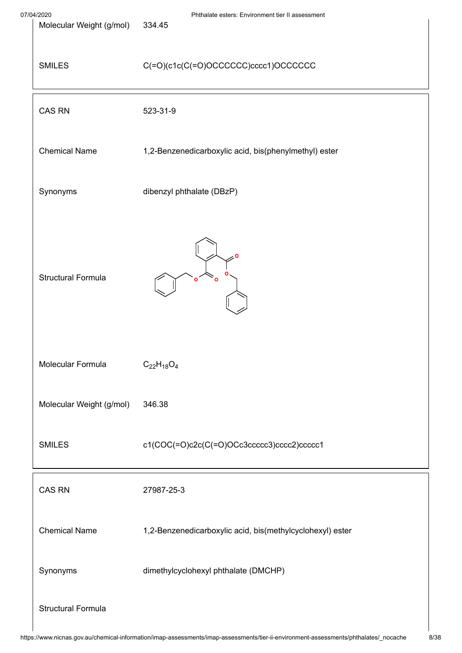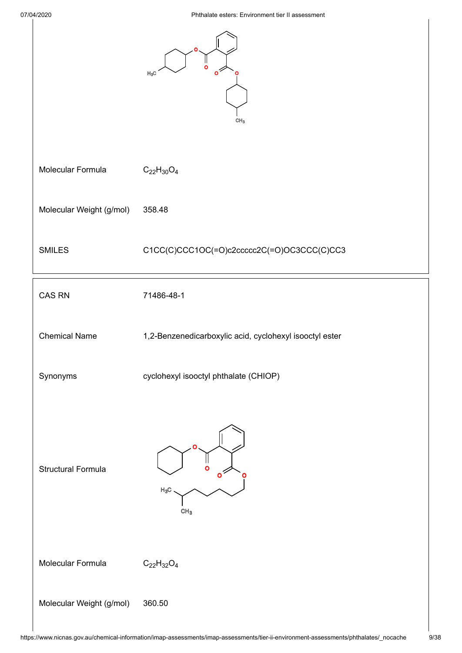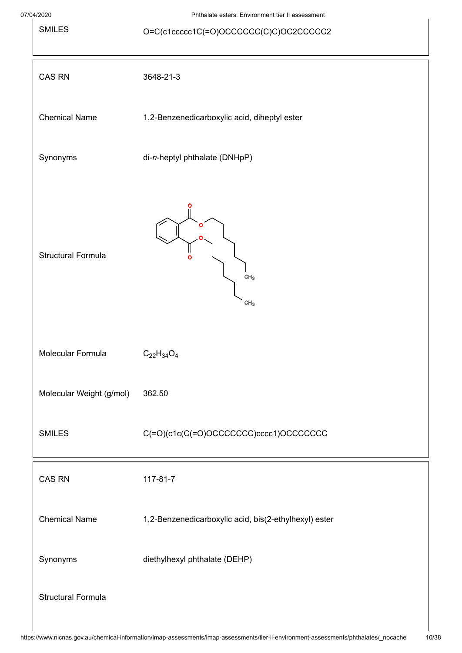SMILES O=C(c1ccccc1C(=O)OCCCCCC(C)C)OC2CCCCC2

| CAS RN                    | 3648-21-3                                             |
|---------------------------|-------------------------------------------------------|
| <b>Chemical Name</b>      | 1,2-Benzenedicarboxylic acid, diheptyl ester          |
| Synonyms                  | di-n-heptyl phthalate (DNHpP)                         |
| <b>Structural Formula</b> | Ο<br>O<br>$\text{CH}_3$<br>CH <sub>3</sub>            |
| Molecular Formula         | $C_{22}H_{34}O_4$                                     |
| Molecular Weight (g/mol)  | 362.50                                                |
| <b>SMILES</b>             | C(=O)(c1c(C(=O)OCCCCCCC)cccc1)OCCCCCCC                |
| <b>CAS RN</b>             | 117-81-7                                              |
| <b>Chemical Name</b>      | 1,2-Benzenedicarboxylic acid, bis(2-ethylhexyl) ester |
| Synonyms                  | diethylhexyl phthalate (DEHP)                         |
| <b>Structural Formula</b> |                                                       |
|                           |                                                       |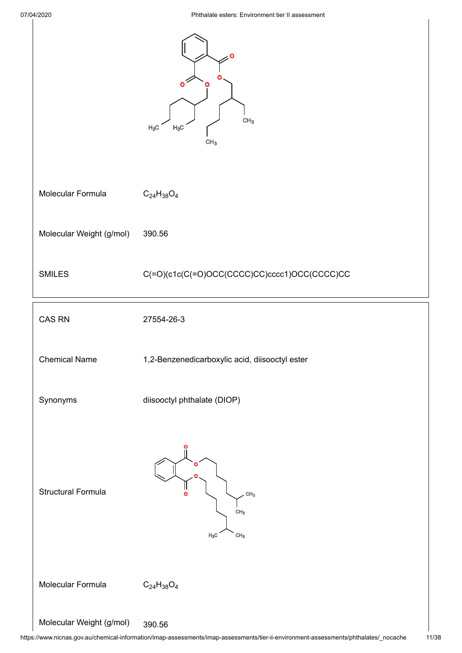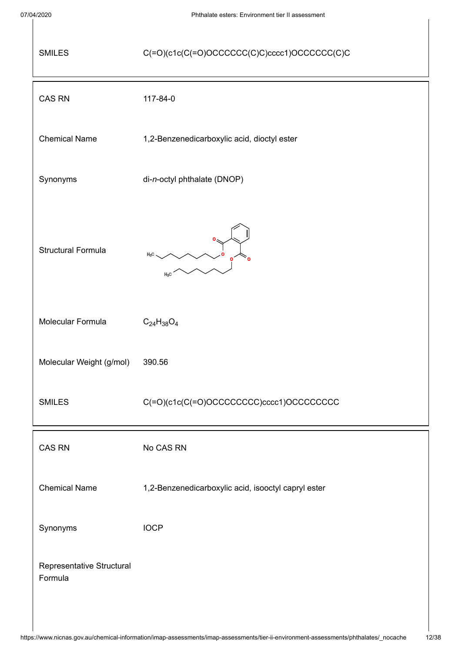$\mathbf l$ 

| <b>SMILES</b>                        | C(=O)(c1c(C(=O)OCCCCCC(C)C)cccc1)OCCCCCC(C)C        |  |
|--------------------------------------|-----------------------------------------------------|--|
| <b>CAS RN</b>                        | 117-84-0                                            |  |
| <b>Chemical Name</b>                 | 1,2-Benzenedicarboxylic acid, dioctyl ester         |  |
| Synonyms                             | di-n-octyl phthalate (DNOP)                         |  |
| <b>Structural Formula</b>            | $H_3C$<br>$H_3C$                                    |  |
| Molecular Formula                    | $C_{24}H_{38}O_4$                                   |  |
| Molecular Weight (g/mol)             | 390.56                                              |  |
| <b>SMILES</b>                        | C(=O)(c1c(C(=O)OCCCCCCCC)cccc1)OCCCCCCCC            |  |
| <b>CAS RN</b>                        | No CAS RN                                           |  |
| <b>Chemical Name</b>                 | 1,2-Benzenedicarboxylic acid, isooctyl capryl ester |  |
| Synonyms                             | <b>IOCP</b>                                         |  |
| Representative Structural<br>Formula |                                                     |  |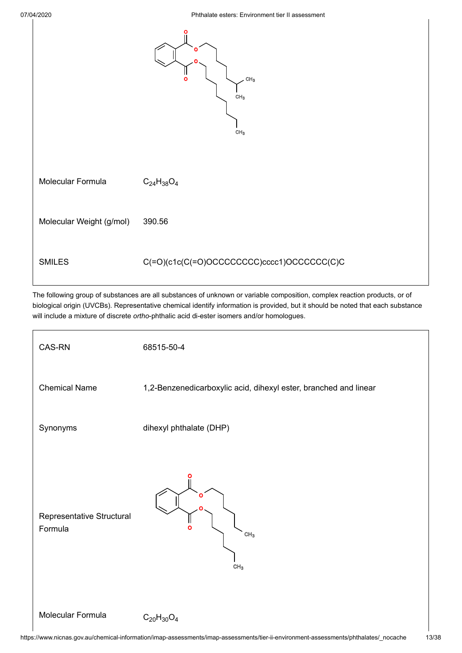

The following group of substances are all substances of unknown or variable composition, complex reaction products, or of biological origin (UVCBs). Representative chemical identify information is provided, but it should be noted that each substance will include a mixture of discrete *ortho*-phthalic acid di-ester isomers and/or homologues.

| CAS-RN                               | 68515-50-4                                                       |
|--------------------------------------|------------------------------------------------------------------|
| <b>Chemical Name</b>                 | 1,2-Benzenedicarboxylic acid, dihexyl ester, branched and linear |
| Synonyms                             | dihexyl phthalate (DHP)                                          |
| Representative Structural<br>Formula | ი<br>$\Omega$<br>CH <sub>3</sub><br>CH <sub>3</sub>              |
| Molecular Formula                    | $C_{20}H_{30}O_4$                                                |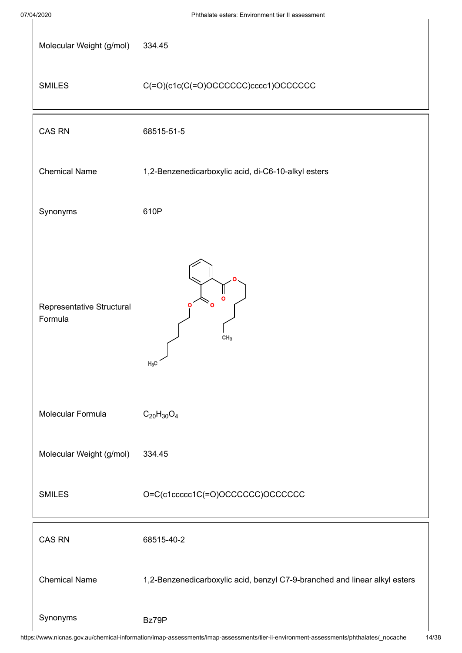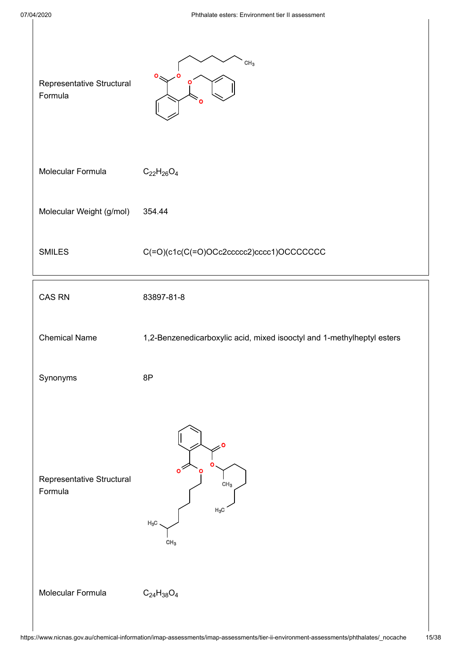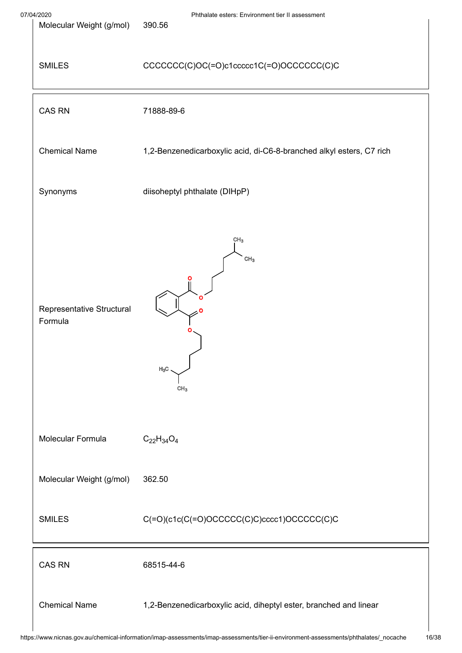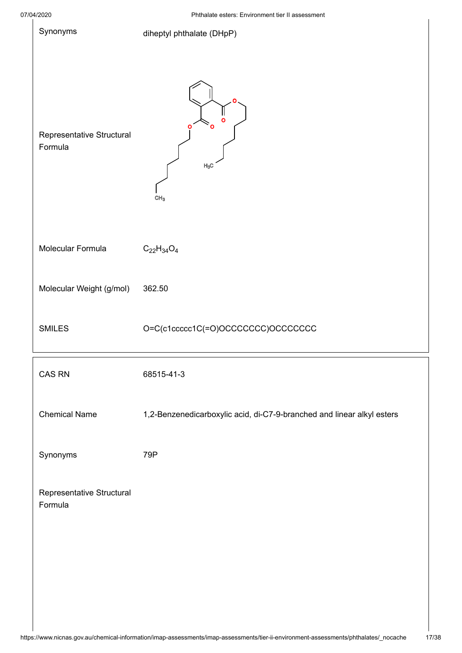| 07/04/2020 |                                      | Phthalate esters: Environment tier II assessment                       |  |
|------------|--------------------------------------|------------------------------------------------------------------------|--|
|            | Synonyms                             | diheptyl phthalate (DHpP)                                              |  |
|            | Representative Structural<br>Formula | $\mathbf{o}$<br>Ο<br>$H_3C$<br>CH <sub>3</sub>                         |  |
|            | Molecular Formula                    | $C_{22}H_{34}O_4$                                                      |  |
|            | Molecular Weight (g/mol)             | 362.50                                                                 |  |
|            | <b>SMILES</b>                        | O=C(c1ccccc1C(=O)OCCCCCCC)OCCCCCCC                                     |  |
|            | CAS RN                               | 68515-41-3                                                             |  |
|            | <b>Chemical Name</b>                 | 1,2-Benzenedicarboxylic acid, di-C7-9-branched and linear alkyl esters |  |
|            | Synonyms                             | 79P                                                                    |  |
|            | Representative Structural<br>Formula |                                                                        |  |
|            |                                      |                                                                        |  |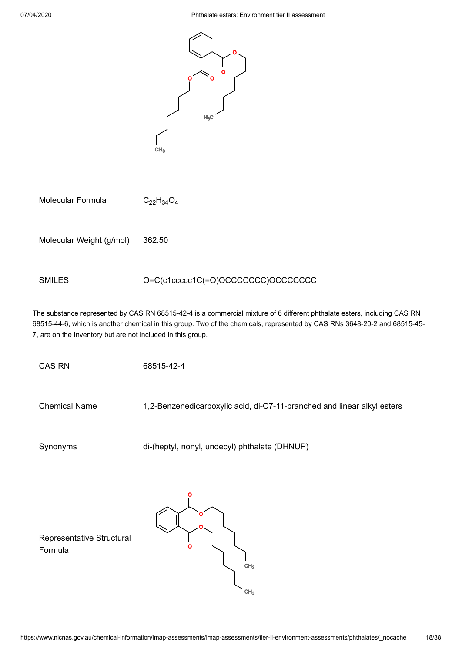

The substance represented by CAS RN 68515-42-4 is a commercial mixture of 6 different phthalate esters, including CAS RN 68515-44-6, which is another chemical in this group. Two of the chemicals, represented by CAS RNs 3648-20-2 and 68515-45- 7, are on the Inventory but are not included in this group.

| <b>CAS RN</b>                        | 68515-42-4                                                              |  |  |
|--------------------------------------|-------------------------------------------------------------------------|--|--|
| <b>Chemical Name</b>                 | 1,2-Benzenedicarboxylic acid, di-C7-11-branched and linear alkyl esters |  |  |
| Synonyms                             | di-(heptyl, nonyl, undecyl) phthalate (DHNUP)                           |  |  |
| Representative Structural<br>Formula | ົ<br>CH <sub>3</sub><br>CH <sub>3</sub>                                 |  |  |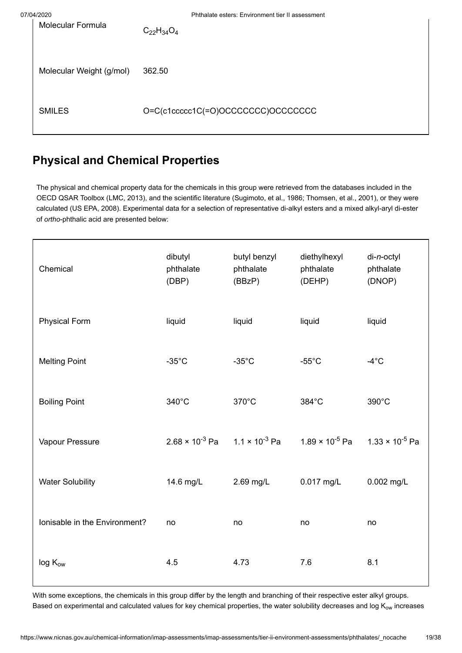| ◡┭៸∠◡∠◡                  | T TRIGIQIU USIUTS. EITYITUITIUITI IIUT II QOSUSSITIUTII |
|--------------------------|---------------------------------------------------------|
| <b>Molecular Formula</b> | $C_{22}H_{34}O_4$                                       |
| Molecular Weight (g/mol) | 362.50                                                  |
| <b>SMILES</b>            | O=C(c1ccccc1C(=O)OCCCCCCC)OCCCCCCC                      |

# <span id="page-18-0"></span>**Physical and Chemical Properties**

The physical and chemical property data for the chemicals in this group were retrieved from the databases included in the OECD QSAR Toolbox [\(LMC, 2013](#page-35-0)), and the scientific literature [\(Sugimoto, et al., 1986;](#page-36-0) [Thomsen, et al., 2001\)](#page-36-1), or they were calculated [\(US EPA, 2008\)](#page-36-2). Experimental data for a selection of representative di-alkyl esters and a mixed alkyl-aryl di-ester of *ortho*-phthalic acid are presented below:

| Chemical                      | dibutyl<br>phthalate<br>(DBP)                    | butyl benzyl<br>phthalate<br>(BBzP) | diethylhexyl<br>phthalate<br>(DEHP) | di-n-octyl<br>phthalate<br>(DNOP) |
|-------------------------------|--------------------------------------------------|-------------------------------------|-------------------------------------|-----------------------------------|
| <b>Physical Form</b>          | liquid                                           | liquid                              | liquid                              | liquid                            |
| <b>Melting Point</b>          | $-35^{\circ}$ C                                  | $-35^{\circ}$ C                     | $-55^{\circ}$ C                     | $-4^{\circ}$ C                    |
| <b>Boiling Point</b>          | 340°C                                            | 370°C                               | 384°C                               | 390°C                             |
| Vapour Pressure               | $2.68 \times 10^{-3}$ Pa $1.1 \times 10^{-3}$ Pa |                                     | 1.89 $\times$ 10 <sup>-5</sup> Pa   | 1.33 × 10 <sup>-5</sup> Pa        |
| <b>Water Solubility</b>       | 14.6 mg/L                                        | 2.69 mg/L                           | 0.017 mg/L                          | 0.002 mg/L                        |
| Ionisable in the Environment? | no                                               | no                                  | no                                  | no                                |
| $log K_{ow}$                  | 4.5                                              | 4.73                                | 7.6                                 | 8.1                               |

With some exceptions, the chemicals in this group differ by the length and branching of their respective ester alkyl groups. Based on experimental and calculated values for key chemical properties, the water solubility decreases and log K $_{\rm ow}$  increases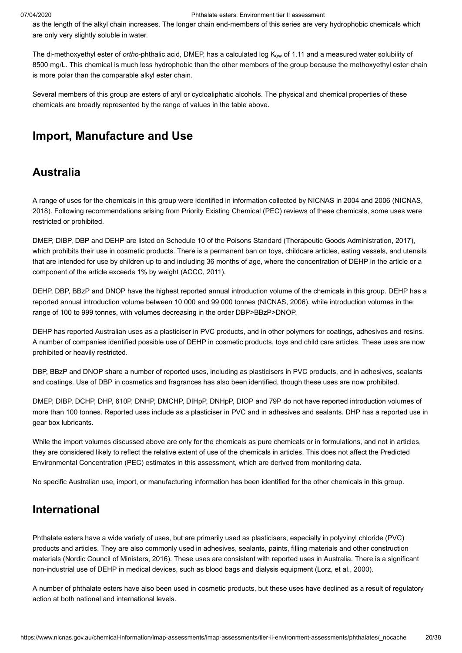as the length of the alkyl chain increases. The longer chain end-members of this series are very hydrophobic chemicals which are only very slightly soluble in water.

The di-methoxyethyl ester of *ortho*-phthalic acid, DMEP, has a calculated log K<sub>ow</sub> of 1.11 and a measured water solubility of 8500 mg/L. This chemical is much less hydrophobic than the other members of the group because the methoxyethyl ester chain is more polar than the comparable alkyl ester chain.

Several members of this group are esters of aryl or cycloaliphatic alcohols. The physical and chemical properties of these chemicals are broadly represented by the range of values in the table above.

## <span id="page-19-0"></span>**Import, Manufacture and Use**

### **Australia**

[A range of uses for the chemicals in this group were identified in information collected by NICNAS in 2004 and 2006 \(NICNAS,](#page-35-1) 2018). Following recommendations arising from Priority Existing Chemical (PEC) reviews of these chemicals, some uses were restricted or prohibited.

DMEP, DIBP, DBP and DEHP are listed on Schedule 10 of the Poisons Standard [\(Therapeutic Goods Administration, 2017\)](#page-36-3), which prohibits their use in cosmetic products. There is a permanent ban on toys, childcare articles, eating vessels, and utensils that are intended for use by children up to and including 36 months of age, where the concentration of DEHP in the article or a component of the article exceeds 1% by weight ([ACCC, 2011\)](#page-33-1).

DEHP, DBP, BBzP and DNOP have the highest reported annual introduction volume of the chemicals in this group. DEHP has a reported annual introduction volume between 10 000 and 99 000 tonnes ([NICNAS, 2006\)](#page-35-2), while introduction volumes in the range of 100 to 999 tonnes, with volumes decreasing in the order DBP>BBzP>DNOP.

DEHP has reported Australian uses as a plasticiser in PVC products, and in other polymers for coatings, adhesives and resins. A number of companies identified possible use of DEHP in cosmetic products, toys and child care articles. These uses are now prohibited or heavily restricted.

DBP, BBzP and DNOP share a number of reported uses, including as plasticisers in PVC products, and in adhesives, sealants and coatings. Use of DBP in cosmetics and fragrances has also been identified, though these uses are now prohibited.

DMEP, DIBP, DCHP, DHP, 610P, DNHP, DMCHP, DIHpP, DNHpP, DIOP and 79P do not have reported introduction volumes of more than 100 tonnes. Reported uses include as a plasticiser in PVC and in adhesives and sealants. DHP has a reported use in gear box lubricants.

While the import volumes discussed above are only for the chemicals as pure chemicals or in formulations, and not in articles, they are considered likely to reflect the relative extent of use of the chemicals in articles. This does not affect the Predicted Environmental Concentration (PEC) estimates in this assessment, which are derived from monitoring data.

No specific Australian use, import, or manufacturing information has been identified for the other chemicals in this group.

## **International**

Phthalate esters have a wide variety of uses, but are primarily used as plasticisers, especially in polyvinyl chloride (PVC) products and articles. They are also commonly used in adhesives, sealants, paints, filling materials and other construction materials [\(Nordic Council of Ministers, 2016](#page-35-3)). These uses are consistent with reported uses in Australia. There is a significant non-industrial use of DEHP in medical devices, such as blood bags and dialysis equipment ([Lorz, et al., 2000\)](#page-35-4).

A number of phthalate esters have also been used in cosmetic products, but these uses have declined as a result of regulatory action at both national and international levels.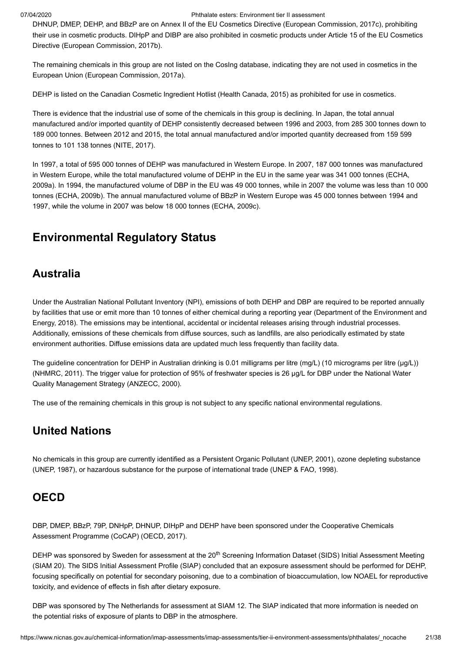DHNUP, DMEP, DEHP, and BBzP are on Annex II of the EU Cosmetics Directive ([European Commission, 2017c](#page-34-0)), prohibiting their use in cosmetic products. DIHpP and DIBP are also prohibited in cosmetic products under Article 15 of the EU Cosmetics Directive ([European Commission, 2017b](#page-34-1)).

The remaining chemicals in this group are not listed on the CosIng database, indicating they are not used in cosmetics in the European Union ([European Commission, 2017a](#page-34-2)).

DEHP is listed on the Canadian Cosmetic Ingredient Hotlist ([Health Canada, 2015\)](#page-35-5) as prohibited for use in cosmetics.

There is evidence that the industrial use of some of the chemicals in this group is declining. In Japan, the total annual manufactured and/or imported quantity of DEHP consistently decreased between 1996 and 2003, from 285 300 tonnes down to 189 000 tonnes. Between 2012 and 2015, the total annual manufactured and/or imported quantity decreased from 159 599 tonnes to 101 138 tonnes [\(NITE, 2017](#page-35-6)).

In 1997, a total of 595 000 tonnes of DEHP was manufactured in Western Europe. In 2007, 187 000 tonnes was manufactured [in Western Europe, while the total manufactured volume of DEHP in the EU in the same year was 341 000 tonnes \(ECHA,](#page-33-2) 2009a). In 1994, the manufactured volume of DBP in the EU was 49 000 tonnes, while in 2007 the volume was less than 10 000 tonnes [\(ECHA, 2009b\)](#page-33-3). The annual manufactured volume of BBzP in Western Europe was 45 000 tonnes between 1994 and 1997, while the volume in 2007 was below 18 000 tonnes ([ECHA, 2009c](#page-33-4)).

## <span id="page-20-0"></span>**Environmental Regulatory Status**

## **Australia**

Under the Australian National Pollutant Inventory (NPI), emissions of both DEHP and DBP are required to be reported annually [by facilities that use or emit more than 10 tonnes of either chemical during a reporting year \(Department of the Environment and](#page-33-5) Energy, 2018). The emissions may be intentional, accidental or incidental releases arising through industrial processes. Additionally, emissions of these chemicals from diffuse sources, such as landfills, are also periodically estimated by state environment authorities. Diffuse emissions data are updated much less frequently than facility data.

The guideline concentration for DEHP in Australian drinking is 0.01 milligrams per litre (mg/L) (10 micrograms per litre (µg/L)) ([NHMRC, 2011\)](#page-35-7). The trigger value for protection of 95% of freshwater species is 26 µg/L for DBP under the National Water Quality Management Strategy ([ANZECC, 2000\)](#page-33-6).

The use of the remaining chemicals in this group is not subject to any specific national environmental regulations.

## **United Nations**

No chemicals in this group are currently identified as a Persistent Organic Pollutant ([UNEP, 2001\)](#page-36-4), ozone depleting substance ([UNEP, 1987\)](#page-36-5), or hazardous substance for the purpose of international trade ([UNEP & FAO, 1998](#page-36-6)).

### **OECD**

DBP, DMEP, BBzP, 79P, DNHpP, DHNUP, DIHpP and DEHP have been sponsored under the Cooperative Chemicals Assessment Programme (CoCAP) ([OECD, 2017\)](#page-35-8).

DEHP was sponsored by Sweden for assessment at the 20<sup>th</sup> Screening Information Dataset (SIDS) Initial Assessment Meeting (SIAM 20). The SIDS Initial Assessment Profile (SIAP) concluded that an exposure assessment should be performed for DEHP, focusing specifically on potential for secondary poisoning, due to a combination of bioaccumulation, low NOAEL for reproductive toxicity, and evidence of effects in fish after dietary exposure.

DBP was sponsored by The Netherlands for assessment at SIAM 12. The SIAP indicated that more information is needed on the potential risks of exposure of plants to DBP in the atmosphere.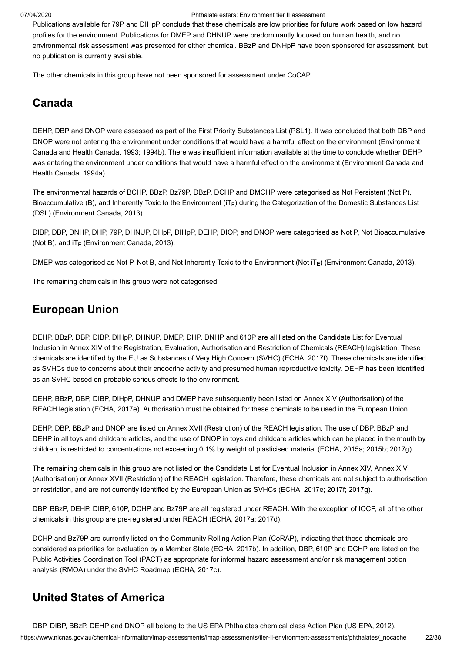Publications available for 79P and DIHpP conclude that these chemicals are low priorities for future work based on low hazard profiles for the environment. Publications for DMEP and DHNUP were predominantly focused on human health, and no environmental risk assessment was presented for either chemical. BBzP and DNHpP have been sponsored for assessment, but no publication is currently available.

The other chemicals in this group have not been sponsored for assessment under CoCAP.

## **Canada**

DEHP, DBP and DNOP were assessed as part of the First Priority Substances List (PSL1). It was concluded that both DBP and [DNOP were not entering the environment under conditions that would have a harmful effect on the environment \(Environment](#page-34-3) Canada and Health Canada, 1993; [1994b\)](#page-34-4). There was insufficient information available at the time to conclude whether DEHP [was entering the environment under conditions that would have a harmful effect on the environment \(Environment Canada and](#page-34-5) Health Canada, 1994a).

The environmental hazards of BCHP, BBzP, Bz79P, DBzP, DCHP and DMCHP were categorised as Not Persistent (Not P), Bioaccumulative (B), and Inherently Toxic to the Environment (iT<sub>E</sub>) during the Categorization of the Domestic Substances List (DSL) ([Environment Canada, 2013\)](#page-34-6).

DIBP, DBP, DNHP, DHP, 79P, DHNUP, DHpP, DIHpP, DEHP, DIOP, and DNOP were categorised as Not P, Not Bioaccumulative (Not B), and iT $_{\mathsf{E}}$  [\(Environment Canada, 2013](#page-34-6)).

DMEP was categorised as Not P, Not B, and Not Inherently Toxic to the Environment (Not iT<sub>E</sub>) [\(Environment Canada, 2013](#page-34-6)).

The remaining chemicals in this group were not categorised.

## **European Union**

DEHP, BBzP, DBP, DIBP, DIHpP, DHNUP, DMEP, DHP, DNHP and 610P are all listed on the Candidate List for Eventual Inclusion in Annex XIV of the Registration, Evaluation, Authorisation and Restriction of Chemicals (REACH) legislation. These chemicals are identified by the EU as Substances of Very High Concern (SVHC) ([ECHA, 2017f](#page-34-7)). These chemicals are identified as SVHCs due to concerns about their endocrine activity and presumed human reproductive toxicity. DEHP has been identified as an SVHC based on probable serious effects to the environment.

DEHP, BBzP, DBP, DIBP, DIHpP, DHNUP and DMEP have subsequently been listed on Annex XIV (Authorisation) of the REACH legislation ([ECHA, 2017e](#page-34-8)). Authorisation must be obtained for these chemicals to be used in the European Union.

DEHP, DBP, BBzP and DNOP are listed on Annex XVII (Restriction) of the REACH legislation. The use of DBP, BBzP and DEHP in all toys and childcare articles, and the use of DNOP in toys and childcare articles which can be placed in the mouth by children, is restricted to concentrations not exceeding 0.1% by weight of plasticised material ([ECHA, 2015a](#page-33-7); [2015b](#page-34-9); [2017g](#page-34-10)).

The remaining chemicals in this group are not listed on the Candidate List for Eventual Inclusion in Annex XIV, Annex XIV (Authorisation) or Annex XVII (Restriction) of the REACH legislation. Therefore, these chemicals are not subject to authorisation or restriction, and are not currently identified by the European Union as SVHCs ([ECHA, 2017e;](#page-34-8) [2017f](#page-34-7); [2017g](#page-34-10)).

DBP, BBzP, DEHP, DIBP, 610P, DCHP and Bz79P are all registered under REACH. With the exception of IOCP, all of the other chemicals in this group are pre-registered under REACH [\(ECHA, 2017a;](#page-34-11) [2017d\)](#page-34-12).

DCHP and Bz79P are currently listed on the Community Rolling Action Plan (CoRAP), indicating that these chemicals are considered as priorities for evaluation by a Member State [\(ECHA, 2017b](#page-34-13)). In addition, DBP, 610P and DCHP are listed on the Public Activities Coordination Tool (PACT) as appropriate for informal hazard assessment and/or risk management option analysis (RMOA) under the SVHC Roadmap [\(ECHA, 2017c\)](#page-34-14).

## **United States of America**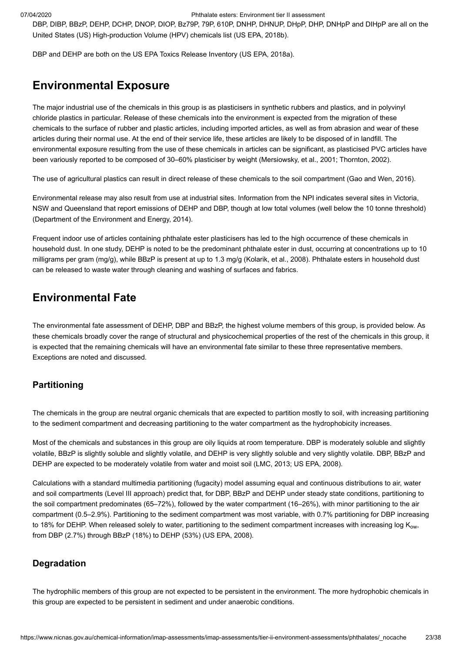DBP, DIBP, BBzP, DEHP, DCHP, DNOP, DIOP, Bz79P, 79P, 610P, DNHP, DHNUP, DHpP, DHP, DNHpP and DIHpP are all on the United States (US) High-production Volume (HPV) chemicals list [\(US EPA, 2018b\)](#page-36-8).

DBP and DEHP are both on the US EPA Toxics Release Inventory [\(US EPA, 2018a\)](#page-36-9).

## <span id="page-22-0"></span>**Environmental Exposure**

The major industrial use of the chemicals in this group is as plasticisers in synthetic rubbers and plastics, and in polyvinyl chloride plastics in particular. Release of these chemicals into the environment is expected from the migration of these chemicals to the surface of rubber and plastic articles, including imported articles, as well as from abrasion and wear of these articles during their normal use. At the end of their service life, these articles are likely to be disposed of in landfill. The environmental exposure resulting from the use of these chemicals in articles can be significant, as plasticised PVC articles have been variously reported to be composed of 30–60% plasticiser by weight ([Mersiowsky, et al., 2001;](#page-35-9) [Thornton, 2002\)](#page-36-10).

The use of agricultural plastics can result in direct release of these chemicals to the soil compartment ([Gao and Wen, 2016](#page-34-15)).

Environmental release may also result from use at industrial sites. Information from the NPI indicates several sites in Victoria, NSW and Queensland that report emissions of DEHP and DBP, though at low total volumes (well below the 10 tonne threshold) ([Department of the Environment and Energy, 2014](#page-33-8)).

Frequent indoor use of articles containing phthalate ester plasticisers has led to the high occurrence of these chemicals in household dust. In one study, DEHP is noted to be the predominant phthalate ester in dust, occurring at concentrations up to 10 milligrams per gram (mg/g), while BBzP is present at up to 1.3 mg/g [\(Kolarik, et al., 2008\)](#page-35-10). Phthalate esters in household dust can be released to waste water through cleaning and washing of surfaces and fabrics.

## **Environmental Fate**

The environmental fate assessment of DEHP, DBP and BBzP, the highest volume members of this group, is provided below. As these chemicals broadly cover the range of structural and physicochemical properties of the rest of the chemicals in this group, it is expected that the remaining chemicals will have an environmental fate similar to these three representative members. Exceptions are noted and discussed.

#### **Partitioning**

The chemicals in the group are neutral organic chemicals that are expected to partition mostly to soil, with increasing partitioning to the sediment compartment and decreasing partitioning to the water compartment as the hydrophobicity increases.

Most of the chemicals and substances in this group are oily liquids at room temperature. DBP is moderately soluble and slightly volatile, BBzP is slightly soluble and slightly volatile, and DEHP is very slightly soluble and very slightly volatile. DBP, BBzP and DEHP are expected to be moderately volatile from water and moist soil ([LMC, 2013;](#page-35-0) [US EPA, 2008](#page-36-2)).

Calculations with a standard multimedia partitioning (fugacity) model assuming equal and continuous distributions to air, water and soil compartments (Level III approach) predict that, for DBP, BBzP and DEHP under steady state conditions, partitioning to the soil compartment predominates (65–72%), followed by the water compartment (16–26%), with minor partitioning to the air compartment (0.5–2.9%). Partitioning to the sediment compartment was most variable, with 0.7% partitioning for DBP increasing to 18% for DEHP. When released solely to water, partitioning to the sediment compartment increases with increasing log K $_{\rm ow,}$ from DBP (2.7%) through BBzP (18%) to DEHP (53%) ([US EPA, 2008\)](#page-36-2).

#### **Degradation**

The hydrophilic members of this group are not expected to be persistent in the environment. The more hydrophobic chemicals in this group are expected to be persistent in sediment and under anaerobic conditions.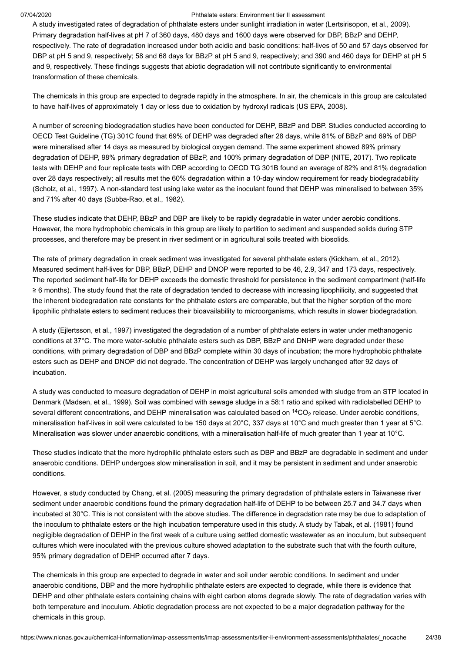A study investigated rates of degradation of phthalate esters under sunlight irradiation in water [\(Lertsirisopon, et al., 2009\)](#page-35-11). Primary degradation half-lives at pH 7 of 360 days, 480 days and 1600 days were observed for DBP, BBzP and DEHP, respectively. The rate of degradation increased under both acidic and basic conditions: half-lives of 50 and 57 days observed for DBP at pH 5 and 9, respectively; 58 and 68 days for BBzP at pH 5 and 9, respectively; and 390 and 460 days for DEHP at pH 5 and 9, respectively. These findings suggests that abiotic degradation will not contribute significantly to environmental transformation of these chemicals.

The chemicals in this group are expected to degrade rapidly in the atmosphere. In air, the chemicals in this group are calculated to have half-lives of approximately 1 day or less due to oxidation by hydroxyl radicals ([US EPA, 2008](#page-36-2)).

A number of screening biodegradation studies have been conducted for DEHP, BBzP and DBP. Studies conducted according to OECD Test Guideline (TG) 301C found that 69% of DEHP was degraded after 28 days, while 81% of BBzP and 69% of DBP were mineralised after 14 days as measured by biological oxygen demand. The same experiment showed 89% primary degradation of DEHP, 98% primary degradation of BBzP, and 100% primary degradation of DBP ([NITE, 2017\)](#page-35-6). Two replicate tests with DEHP and four replicate tests with DBP according to OECD TG 301B found an average of 82% and 81% degradation over 28 days respectively; all results met the 60% degradation within a 10-day window requirement for ready biodegradability ([Scholz, et al., 1997\)](#page-36-11). A non-standard test using lake water as the inoculant found that DEHP was mineralised to between 35% and 71% after 40 days [\(Subba-Rao, et al., 1982\)](#page-36-12).

These studies indicate that DEHP, BBzP and DBP are likely to be rapidly degradable in water under aerobic conditions. However, the more hydrophobic chemicals in this group are likely to partition to sediment and suspended solids during STP processes, and therefore may be present in river sediment or in agricultural soils treated with biosolids.

The rate of primary degradation in creek sediment was investigated for several phthalate esters ([Kickham, et al., 2012\)](#page-35-12). Measured sediment half-lives for DBP, BBzP, DEHP and DNOP were reported to be 46, 2.9, 347 and 173 days, respectively. The reported sediment half-life for DEHP exceeds the domestic threshold for persistence in the sediment compartment (half-life ≥ 6 months). The study found that the rate of degradation tended to decrease with increasing lipophilicity, and suggested that the inherent biodegradation rate constants for the phthalate esters are comparable, but that the higher sorption of the more lipophilic phthalate esters to sediment reduces their bioavailability to microorganisms, which results in slower biodegradation.

A study [\(Ejlertsson, et al., 1997\)](#page-34-16) investigated the degradation of a number of phthalate esters in water under methanogenic conditions at 37°C. The more water-soluble phthalate esters such as DBP, BBzP and DNHP were degraded under these conditions, with primary degradation of DBP and BBzP complete within 30 days of incubation; the more hydrophobic phthalate esters such as DEHP and DNOP did not degrade. The concentration of DEHP was largely unchanged after 92 days of incubation.

A study was conducted to measure degradation of DEHP in moist agricultural soils amended with sludge from an STP located in Denmark [\(Madsen, et al., 1999\)](#page-35-13). Soil was combined with sewage sludge in a 58:1 ratio and spiked with radiolabelled DEHP to several different concentrations, and DEHP mineralisation was calculated based on  $^{14} \rm CO_2$  release. Under aerobic conditions, mineralisation half-lives in soil were calculated to be 150 days at 20°C, 337 days at 10°C and much greater than 1 year at 5°C. Mineralisation was slower under anaerobic conditions, with a mineralisation half-life of much greater than 1 year at 10°C.

These studies indicate that the more hydrophilic phthalate esters such as DBP and BBzP are degradable in sediment and under anaerobic conditions. DEHP undergoes slow mineralisation in soil, and it may be persistent in sediment and under anaerobic conditions.

However, a study conducted by [Chang, et al. \(2005\)](#page-33-9) measuring the primary degradation of phthalate esters in Taiwanese river sediment under anaerobic conditions found the primary degradation half-life of DEHP to be between 25.7 and 34.7 days when incubated at 30°C. This is not consistent with the above studies. The difference in degradation rate may be due to adaptation of the inoculum to phthalate esters or the high incubation temperature used in this study. A study by [Tabak, et al. \(1981\)](#page-36-13) found negligible degradation of DEHP in the first week of a culture using settled domestic wastewater as an inoculum, but subsequent cultures which were inoculated with the previous culture showed adaptation to the substrate such that with the fourth culture, 95% primary degradation of DEHP occurred after 7 days.

The chemicals in this group are expected to degrade in water and soil under aerobic conditions. In sediment and under anaerobic conditions, DBP and the more hydrophilic phthalate esters are expected to degrade, while there is evidence that DEHP and other phthalate esters containing chains with eight carbon atoms degrade slowly. The rate of degradation varies with both temperature and inoculum. Abiotic degradation process are not expected to be a major degradation pathway for the chemicals in this group.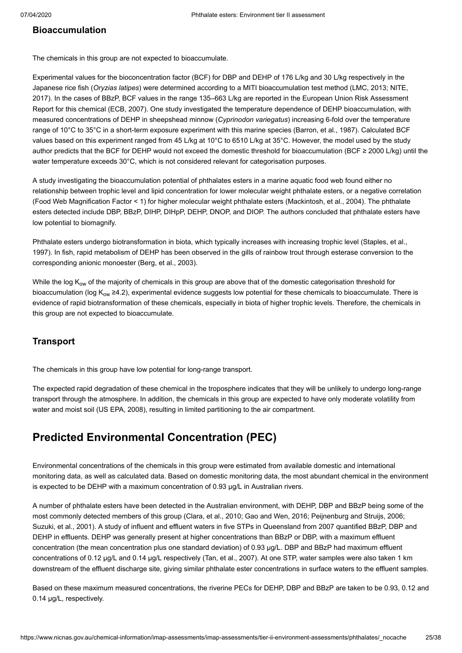### **Bioaccumulation**

The chemicals in this group are not expected to bioaccumulate.

Experimental values for the bioconcentration factor (BCF) for DBP and DEHP of 176 L/kg and 30 L/kg respectively in the Japanese rice fish (*Oryzias latipes*) were determined according to a MITI bioaccumulation test method ([LMC, 2013;](#page-35-0) NITE, [2017\). In the cases of BBzP, BCF values in the range 135–663 L/kg are reported in the European Union Risk Assessment](#page-35-6) Report for this chemical [\(ECB, 2007](#page-33-10)). One study investigated the temperature dependence of DEHP bioaccumulation, with measured concentrations of DEHP in sheepshead minnow (*Cyprinodon variegatus*) increasing 6-fold over the temperature range of 10°C to 35°C in a short-term exposure experiment with this marine species ([Barron, et al., 1987\)](#page-33-11). Calculated BCF values based on this experiment ranged from 45 L/kg at 10°C to 6510 L/kg at 35°C. However, the model used by the study author predicts that the BCF for DEHP would not exceed the domestic threshold for bioaccumulation (BCF ≥ 2000 L/kg) until the water temperature exceeds 30°C, which is not considered relevant for categorisation purposes.

A study investigating the bioaccumulation potential of phthalates esters in a marine aquatic food web found either no relationship between trophic level and lipid concentration for lower molecular weight phthalate esters, or a negative correlation (Food Web Magnification Factor < 1) for higher molecular weight phthalate esters ([Mackintosh, et al., 2004\)](#page-35-14). The phthalate esters detected include DBP, BBzP, DIHP, DIHpP, DEHP, DNOP, and DIOP. The authors concluded that phthalate esters have low potential to biomagnify.

Phthalate esters undergo biotransformation in biota, which typically increases with increasing trophic level (Staples, et al., [1997\). In fish, rapid metabolism of DEHP has been observed in the gills of rainbow trout through esterase conversion to th](#page-36-14)e corresponding anionic monoester ([Berg, et al., 2003](#page-33-12)).

While the log K<sub>ow</sub> of the majority of chemicals in this group are above that of the domestic categorisation threshold for bioaccumulation (log K<sub>ow</sub> ≥4.2), experimental evidence suggests low potential for these chemicals to bioaccumulate. There is evidence of rapid biotransformation of these chemicals, especially in biota of higher trophic levels. Therefore, the chemicals in this group are not expected to bioaccumulate.

### **Transport**

The chemicals in this group have low potential for long-range transport.

The expected rapid degradation of these chemical in the troposphere indicates that they will be unlikely to undergo long-range transport through the atmosphere. In addition, the chemicals in this group are expected to have only moderate volatility from water and moist soil [\(US EPA, 2008\)](#page-36-2), resulting in limited partitioning to the air compartment.

## **Predicted Environmental Concentration (PEC)**

Environmental concentrations of the chemicals in this group were estimated from available domestic and international monitoring data, as well as calculated data. Based on domestic monitoring data, the most abundant chemical in the environment is expected to be DEHP with a maximum concentration of 0.93 µg/L in Australian rivers.

A number of phthalate esters have been detected in the Australian environment, with DEHP, DBP and BBzP being some of the most commonly detected members of this group [\(Clara, et al., 2010;](#page-33-13) [Gao and Wen, 2016](#page-34-15); [Peijnenburg and Struijs, 2006](#page-36-15); [Suzuki, et al., 2001\)](#page-36-16). A study of influent and effluent waters in five STPs in Queensland from 2007 quantified BBzP, DBP and DEHP in effluents. DEHP was generally present at higher concentrations than BBzP or DBP, with a maximum effluent concentration (the mean concentration plus one standard deviation) of 0.93 µg/L. DBP and BBzP had maximum effluent concentrations of 0.12 µg/L and 0.14 µg/L respectively ([Tan, et al., 2007](#page-36-17)). At one STP, water samples were also taken 1 km downstream of the effluent discharge site, giving similar phthalate ester concentrations in surface waters to the effluent samples.

Based on these maximum measured concentrations, the riverine PECs for DEHP, DBP and BBzP are taken to be 0.93, 0.12 and 0.14 µg/L, respectively.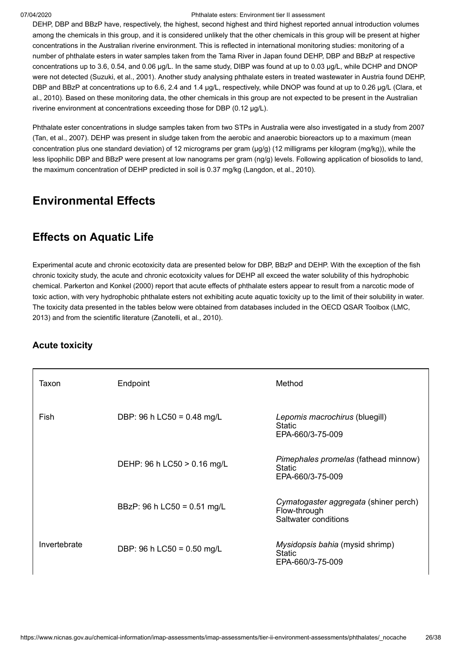DEHP, DBP and BBzP have, respectively, the highest, second highest and third highest reported annual introduction volumes among the chemicals in this group, and it is considered unlikely that the other chemicals in this group will be present at higher concentrations in the Australian riverine environment. This is reflected in international monitoring studies: monitoring of a number of phthalate esters in water samples taken from the Tama River in Japan found DEHP, DBP and BBzP at respective concentrations up to 3.6, 0.54, and 0.06 µg/L. In the same study, DIBP was found at up to 0.03 µg/L, while DCHP and DNOP were not detected [\(Suzuki, et al., 2001\)](#page-36-16). Another study analysing phthalate esters in treated wastewater in Austria found DEHP, [DBP and BBzP at concentrations up to 6.6, 2.4 and 1.4 µg/L, respectively, while DNOP was found at up to 0.26 µg/L \(Clara, et](#page-33-13) al., 2010). Based on these monitoring data, the other chemicals in this group are not expected to be present in the Australian riverine environment at concentrations exceeding those for DBP (0.12 µg/L).

Phthalate ester concentrations in sludge samples taken from two STPs in Australia were also investigated in a study from 2007 ([Tan, et al., 2007](#page-36-17)). DEHP was present in sludge taken from the aerobic and anaerobic bioreactors up to a maximum (mean concentration plus one standard deviation) of 12 micrograms per gram (µg/g) (12 milligrams per kilogram (mg/kg)), while the less lipophilic DBP and BBzP were present at low nanograms per gram (ng/g) levels. Following application of biosolids to land, the maximum concentration of DEHP predicted in soil is 0.37 mg/kg ([Langdon, et al., 2010](#page-35-15)).

# <span id="page-25-0"></span>**Environmental Effects**

# **Effects on Aquatic Life**

Experimental acute and chronic ecotoxicity data are presented below for DBP, BBzP and DEHP. With the exception of the fish chronic toxicity study, the acute and chronic ecotoxicity values for DEHP all exceed the water solubility of this hydrophobic chemical. [Parkerton and Konkel \(2000\)](#page-36-18) report that acute effects of phthalate esters appear to result from a narcotic mode of toxic action, with very hydrophobic phthalate esters not exhibiting acute aquatic toxicity up to the limit of their solubility in water. [The toxicity data presented in the tables below were obtained from databases included in the OECD QSAR Toolbox \(LMC,](#page-35-0) 2013) and from the scientific literature [\(Zanotelli, et al., 2010](#page-37-0)).

## **Acute toxicity**

| Taxon        | Endpoint                      | Method                                                                        |
|--------------|-------------------------------|-------------------------------------------------------------------------------|
| Fish         | DBP: 96 h LC50 = $0.48$ mg/L  | Lepomis macrochirus (bluegill)<br><b>Static</b><br>EPA-660/3-75-009           |
|              | DEHP: 96 h LC50 > 0.16 mg/L   | Pimephales promelas (fathead minnow)<br><b>Static</b><br>EPA-660/3-75-009     |
|              | BBzP: 96 h LC50 = $0.51$ mg/L | Cymatogaster aggregata (shiner perch)<br>Flow-through<br>Saltwater conditions |
| Invertebrate | DBP: 96 h LC50 = $0.50$ mg/L  | Mysidopsis bahia (mysid shrimp)<br><b>Static</b><br>EPA-660/3-75-009          |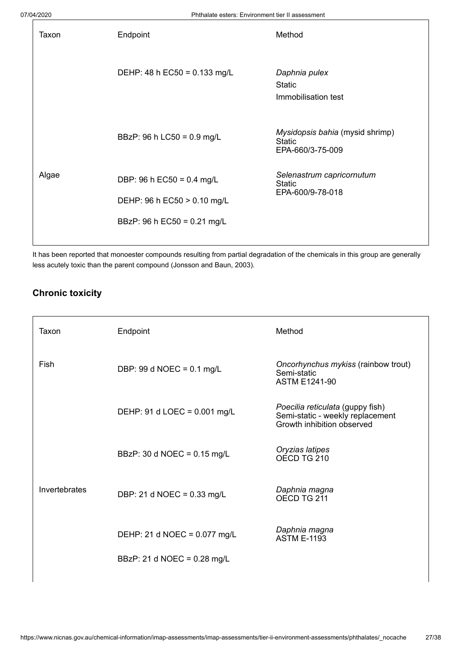| Taxon | Endpoint                     | Method                                                               |
|-------|------------------------------|----------------------------------------------------------------------|
|       | DEHP: 48 h EC50 = 0.133 mg/L | Daphnia pulex<br><b>Static</b><br>Immobilisation test                |
|       | BBzP: 96 h LC50 = 0.9 mg/L   | Mysidopsis bahia (mysid shrimp)<br><b>Static</b><br>EPA-660/3-75-009 |
| Algae | DBP: 96 h EC50 = 0.4 mg/L    | Selenastrum capricornutum<br>Static                                  |
|       | DEHP: 96 h EC50 > 0.10 mg/L  | EPA-600/9-78-018                                                     |
|       | BBzP: 96 h EC50 = 0.21 mg/L  |                                                                      |
|       |                              |                                                                      |

It has been reported that monoester compounds resulting from partial degradation of the chemicals in this group are generally less acutely toxic than the parent compound [\(Jonsson and Baun, 2003\)](#page-35-16).

### **Chronic toxicity**

| Taxon         | Endpoint                            | Method                                                                                             |
|---------------|-------------------------------------|----------------------------------------------------------------------------------------------------|
| Fish          | DBP: 99 d NOEC = $0.1 \text{ mg/L}$ | Oncorhynchus mykiss (rainbow trout)<br>Semi-static<br><b>ASTM E1241-90</b>                         |
|               | DEHP: 91 d LOEC = 0.001 mg/L        | Poecilia reticulata (guppy fish)<br>Semi-static - weekly replacement<br>Growth inhibition observed |
|               | BBzP: 30 d NOEC = 0.15 mg/L         | Oryzias latipes<br>OECD TG 210                                                                     |
| Invertebrates | DBP: 21 d NOEC = 0.33 mg/L          | Daphnia magna<br>OECD TG 211                                                                       |
|               | DEHP: 21 d NOEC = 0.077 mg/L        | Daphnia magna<br><b>ASTM E-1193</b>                                                                |
|               | BBzP: 21 d NOEC = 0.28 mg/L         |                                                                                                    |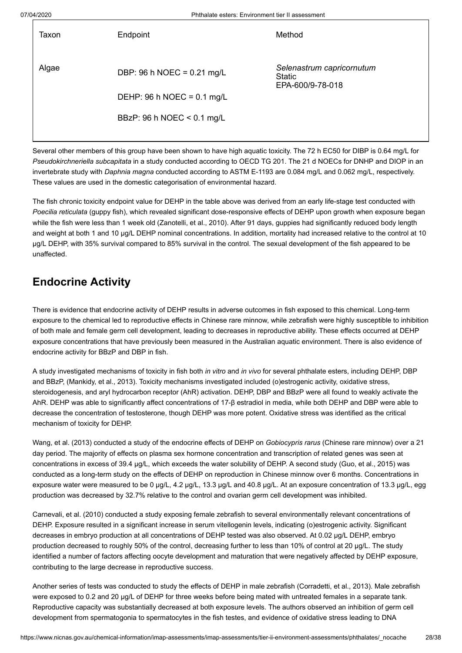| Taxon | Endpoint                             | Method                                                  |
|-------|--------------------------------------|---------------------------------------------------------|
| Algae | DBP: 96 h NOEC = 0.21 mg/L           | Selenastrum capricornutum<br>Static<br>EPA-600/9-78-018 |
|       | DEHP: 96 h NOEC = $0.1 \text{ mg/L}$ |                                                         |
|       | BBzP: 96 h NOEC < 0.1 mg/L           |                                                         |
|       |                                      |                                                         |

Several other members of this group have been shown to have high aquatic toxicity. The 72 h EC50 for DIBP is 0.64 mg/L for *Pseudokirchneriella subcapitata* in a study conducted according to OECD TG 201. The 21 d NOECs for DNHP and DIOP in an invertebrate study with *Daphnia magna* conducted according to ASTM E-1193 are 0.084 mg/L and 0.062 mg/L, respectively. These values are used in the domestic categorisation of environmental hazard.

The fish chronic toxicity endpoint value for DEHP in the table above was derived from an early life-stage test conducted with *Poecilia reticulata* (guppy fish), which revealed significant dose-responsive effects of DEHP upon growth when exposure began while the fish were less than 1 week old ([Zanotelli, et al., 2010\)](#page-37-0). After 91 days, guppies had significantly reduced body length and weight at both 1 and 10 µg/L DEHP nominal concentrations. In addition, mortality had increased relative to the control at 10 µg/L DEHP, with 35% survival compared to 85% survival in the control. The sexual development of the fish appeared to be unaffected.

# **Endocrine Activity**

There is evidence that endocrine activity of DEHP results in adverse outcomes in fish exposed to this chemical. Long-term exposure to the chemical led to reproductive effects in Chinese rare minnow, while zebrafish were highly susceptible to inhibition of both male and female germ cell development, leading to decreases in reproductive ability. These effects occurred at DEHP exposure concentrations that have previously been measured in the Australian aquatic environment. There is also evidence of endocrine activity for BBzP and DBP in fish.

A study investigated mechanisms of toxicity in fish both *in vitro* and *in vivo* for several phthalate esters, including DEHP, DBP and BBzP, ([Mankidy, et al., 2013](#page-35-17)). Toxicity mechanisms investigated included (o)estrogenic activity, oxidative stress, steroidogenesis, and aryl hydrocarbon receptor (AhR) activation. DEHP, DBP and BBzP were all found to weakly activate the AhR. DEHP was able to significantly affect concentrations of 17-β estradiol in media, while both DEHP and DBP were able to decrease the concentration of testosterone, though DEHP was more potent. Oxidative stress was identified as the critical mechanism of toxicity for DEHP.

[Wang, et al. \(2013\)](#page-36-19) conducted a study of the endocrine effects of DEHP on *Gobiocypris rarus* (Chinese rare minnow) over a 21 day period. The majority of effects on plasma sex hormone concentration and transcription of related genes was seen at concentrations in excess of 39.4 µg/L, which exceeds the water solubility of DEHP. A second study ([Guo, et al., 2015](#page-34-17)) was conducted as a long-term study on the effects of DEHP on reproduction in Chinese minnow over 6 months. Concentrations in exposure water were measured to be 0 µg/L, 4.2 µg/L, 13.3 µg/L and 40.8 µg/L. At an exposure concentration of 13.3 µg/L, egg production was decreased by 32.7% relative to the control and ovarian germ cell development was inhibited.

[Carnevali, et al. \(2010\)](#page-33-14) conducted a study exposing female zebrafish to several environmentally relevant concentrations of DEHP. Exposure resulted in a significant increase in serum vitellogenin levels, indicating (o)estrogenic activity. Significant decreases in embryo production at all concentrations of DEHP tested was also observed. At 0.02 µg/L DEHP, embryo production decreased to roughly 50% of the control, decreasing further to less than 10% of control at 20 µg/L. The study identified a number of factors affecting oocyte development and maturation that were negatively affected by DEHP exposure, contributing to the large decrease in reproductive success.

Another series of tests was conducted to study the effects of DEHP in male zebrafish ([Corradetti, et al., 2013\)](#page-33-15). Male zebrafish were exposed to 0.2 and 20 µg/L of DEHP for three weeks before being mated with untreated females in a separate tank. Reproductive capacity was substantially decreased at both exposure levels. The authors observed an inhibition of germ cell development from spermatogonia to spermatocytes in the fish testes, and evidence of oxidative stress leading to DNA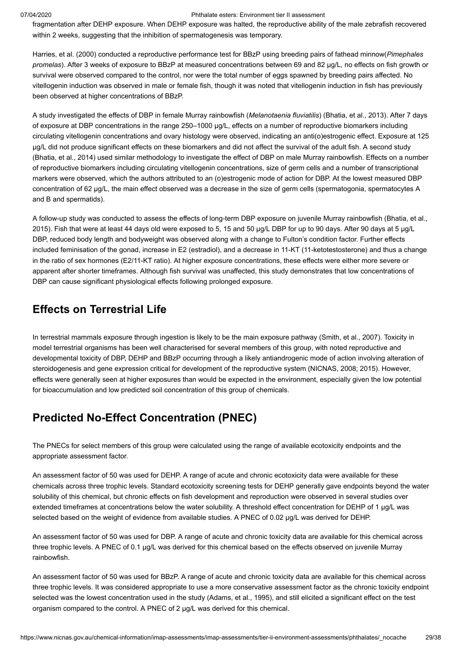fragmentation after DEHP exposure. When DEHP exposure was halted, the reproductive ability of the male zebrafish recovered within 2 weeks, suggesting that the inhibition of spermatogenesis was temporary.

[Harries, et al. \(2000\)](#page-34-18) conducted a reproductive performance test for BBzP using breeding pairs of fathead minnow(*Pimephales promelas*). After 3 weeks of exposure to BBzP at measured concentrations between 69 and 82 µg/L, no effects on fish growth or survival were observed compared to the control, nor were the total number of eggs spawned by breeding pairs affected. No vitellogenin induction was observed in male or female fish, though it was noted that vitellogenin induction in fish has previously been observed at higher concentrations of BBzP.

A study investigated the effects of DBP in female Murray rainbowfish (*Melanotaenia fluviatilis*) [\(Bhatia, et al., 2013](#page-33-16)). After 7 days of exposure at DBP concentrations in the range 250–1000 µg/L, effects on a number of reproductive biomarkers including circulating vitellogenin concentrations and ovary histology were observed, indicating an anti(o)estrogenic effect. Exposure at 125 µg/L did not produce significant effects on these biomarkers and did not affect the survival of the adult fish. A second study ([Bhatia, et al., 2014](#page-33-17)) used similar methodology to investigate the effect of DBP on male Murray rainbowfish. Effects on a number of reproductive biomarkers including circulating vitellogenin concentrations, size of germ cells and a number of transcriptional markers were observed, which the authors attributed to an (o)estrogenic mode of action for DBP. At the lowest measured DBP concentration of 62 µg/L, the main effect observed was a decrease in the size of germ cells (spermatogonia, spermatocytes A and B and spermatids).

[A follow-up study was conducted to assess the effects of long-term DBP exposure on juvenile Murray rainbowfish \(Bhatia, et al.,](#page-33-18) 2015). Fish that were at least 44 days old were exposed to 5, 15 and 50 µg/L DBP for up to 90 days. After 90 days at 5 µg/L DBP, reduced body length and bodyweight was observed along with a change to Fulton's condition factor. Further effects included feminisation of the gonad, increase in E2 (estradiol), and a decrease in 11-KT (11-ketotestosterone) and thus a change in the ratio of sex hormones (E2/11-KT ratio). At higher exposure concentrations, these effects were either more severe or apparent after shorter timeframes. Although fish survival was unaffected, this study demonstrates that low concentrations of DBP can cause significant physiological effects following prolonged exposure.

## **Effects on Terrestrial Life**

In terrestrial mammals exposure through ingestion is likely to be the main exposure pathway [\(Smith, et al., 2007\)](#page-36-20). Toxicity in model terrestrial organisms has been well characterised for several members of this group, with noted reproductive and developmental toxicity of DBP, DEHP and BBzP occurring through a likely antiandrogenic mode of action involving alteration of steroidogenesis and gene expression critical for development of the reproductive system ([NICNAS, 2008;](#page-35-18) [2015\)](#page-35-19). However, effects were generally seen at higher exposures than would be expected in the environment, especially given the low potential for bioaccumulation and low predicted soil concentration of this group of chemicals.

## **Predicted No-Effect Concentration (PNEC)**

The PNECs for select members of this group were calculated using the range of available ecotoxicity endpoints and the appropriate assessment factor.

An assessment factor of 50 was used for DEHP. A range of acute and chronic ecotoxicity data were available for these chemicals across three trophic levels. Standard ecotoxicity screening tests for DEHP generally gave endpoints beyond the water solubility of this chemical, but chronic effects on fish development and reproduction were observed in several studies over extended timeframes at concentrations below the water solubility. A threshold effect concentration for DEHP of 1 µg/L was selected based on the weight of evidence from available studies. A PNEC of 0.02 µg/L was derived for DEHP.

An assessment factor of 50 was used for DBP. A range of acute and chronic toxicity data are available for this chemical across three trophic levels. A PNEC of 0.1 µg/L was derived for this chemical based on the effects observed on juvenile Murray rainbowfish.

An assessment factor of 50 was used for BBzP. A range of acute and chronic toxicity data are available for this chemical across three trophic levels. It was considered appropriate to use a more conservative assessment factor as the chronic toxicity endpoint selected was the lowest concentration used in the study ([Adams, et al., 1995](#page-33-19)), and still elicited a significant effect on the test organism compared to the control. A PNEC of 2 µg/L was derived for this chemical.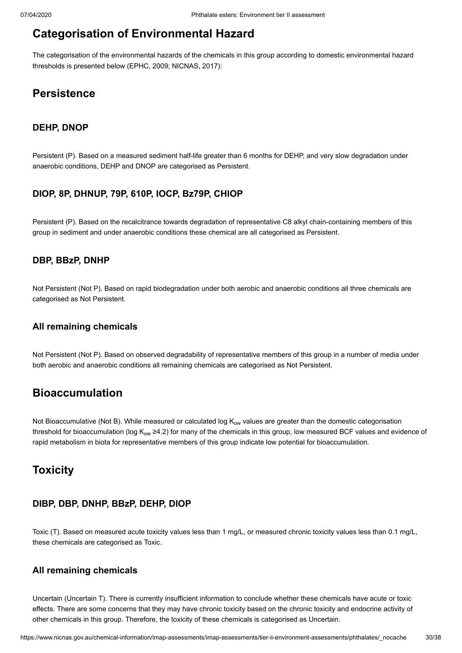# <span id="page-29-0"></span>**Categorisation of Environmental Hazard**

The categorisation of the environmental hazards of the chemicals in this group according to domestic environmental hazard thresholds is presented below ([EPHC, 2009;](#page-34-19) [NICNAS, 2017\)](#page-35-20):

## **Persistence**

### **DEHP, DNOP**

Persistent (P). Based on a measured sediment half-life greater than 6 months for DEHP, and very slow degradation under anaerobic conditions, DEHP and DNOP are categorised as Persistent.

### **DIOP, 8P, DHNUP, 79P, 610P, IOCP, Bz79P, CHIOP**

Persistent (P). Based on the recalcitrance towards degradation of representative C8 alkyl chain-containing members of this group in sediment and under anaerobic conditions these chemical are all categorised as Persistent.

### **DBP, BBzP, DNHP**

Not Persistent (Not P). Based on rapid biodegradation under both aerobic and anaerobic conditions all three chemicals are categorised as Not Persistent.

### **All remaining chemicals**

Not Persistent (Not P). Based on observed degradability of representative members of this group in a number of media under both aerobic and anaerobic conditions all remaining chemicals are categorised as Not Persistent.

## **Bioaccumulation**

Not Bioaccumulative (Not B). While measured or calculated log K<sub>ow</sub> values are greater than the domestic categorisation threshold for bioaccumulation (log K<sub>ow</sub> ≥4.2) for many of the chemicals in this group, low measured BCF values and evidence of rapid metabolism in biota for representative members of this group indicate low potential for bioaccumulation.

## **Toxicity**

### **DIBP, DBP, DNHP, BBzP, DEHP, DIOP**

Toxic (T). Based on measured acute toxicity values less than 1 mg/L, or measured chronic toxicity values less than 0.1 mg/L, these chemicals are categorised as Toxic.

### **All remaining chemicals**

Uncertain (Uncertain T). There is currently insufficient information to conclude whether these chemicals have acute or toxic effects. There are some concerns that they may have chronic toxicity based on the chronic toxicity and endocrine activity of other chemicals in this group. Therefore, the toxicity of these chemicals is categorised as Uncertain.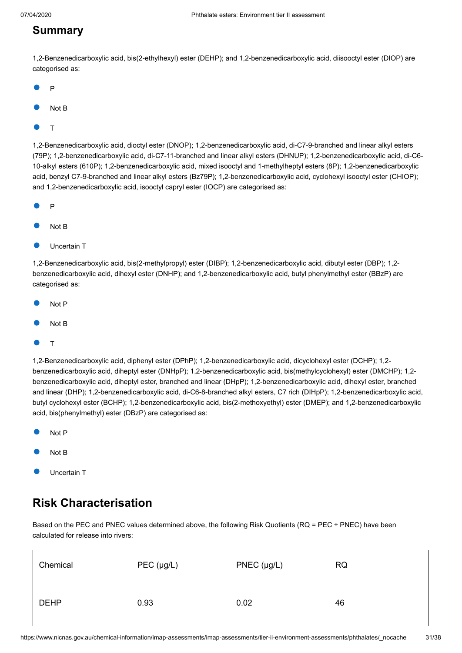## **Summary**

1,2-Benzenedicarboxylic acid, bis(2-ethylhexyl) ester (DEHP); and 1,2-benzenedicarboxylic acid, diisooctyl ester (DIOP) are categorised as:

- P
- Not B
- T

1,2-Benzenedicarboxylic acid, dioctyl ester (DNOP); 1,2-benzenedicarboxylic acid, di-C7-9-branched and linear alkyl esters (79P); 1,2-benzenedicarboxylic acid, di-C7-11-branched and linear alkyl esters (DHNUP); 1,2-benzenedicarboxylic acid, di-C6- 10-alkyl esters (610P); 1,2-benzenedicarboxylic acid, mixed isooctyl and 1-methylheptyl esters (8P); 1,2-benzenedicarboxylic acid, benzyl C7-9-branched and linear alkyl esters (Bz79P); 1,2-benzenedicarboxylic acid, cyclohexyl isooctyl ester (CHIOP); and 1,2-benzenedicarboxylic acid, isooctyl capryl ester (IOCP) are categorised as:

- P
- Not B
- Uncertain T

1,2-Benzenedicarboxylic acid, bis(2-methylpropyl) ester (DIBP); 1,2-benzenedicarboxylic acid, dibutyl ester (DBP); 1,2 benzenedicarboxylic acid, dihexyl ester (DNHP); and 1,2-benzenedicarboxylic acid, butyl phenylmethyl ester (BBzP) are categorised as:

- Not P
- Not B
- T

1,2-Benzenedicarboxylic acid, diphenyl ester (DPhP); 1,2-benzenedicarboxylic acid, dicyclohexyl ester (DCHP); 1,2 benzenedicarboxylic acid, diheptyl ester (DNHpP); 1,2-benzenedicarboxylic acid, bis(methylcyclohexyl) ester (DMCHP); 1,2 benzenedicarboxylic acid, diheptyl ester, branched and linear (DHpP); 1,2-benzenedicarboxylic acid, dihexyl ester, branched and linear (DHP); 1,2-benzenedicarboxylic acid, di-C6-8-branched alkyl esters, C7 rich (DIHpP); 1,2-benzenedicarboxylic acid, butyl cyclohexyl ester (BCHP); 1,2-benzenedicarboxylic acid, bis(2-methoxyethyl) ester (DMEP); and 1,2-benzenedicarboxylic acid, bis(phenylmethyl) ester (DBzP) are categorised as:

- Not P
- Not B
- Uncertain T

# <span id="page-30-0"></span>**Risk Characterisation**

Based on the PEC and PNEC values determined above, the following Risk Quotients (RQ = PEC ÷ PNEC) have been calculated for release into rivers:

| Chemical    | PEC (µg/L) | $PNEC$ ( $\mu$ g/L) | <b>RQ</b> |
|-------------|------------|---------------------|-----------|
| <b>DEHP</b> | 0.93       | 0.02                | 46        |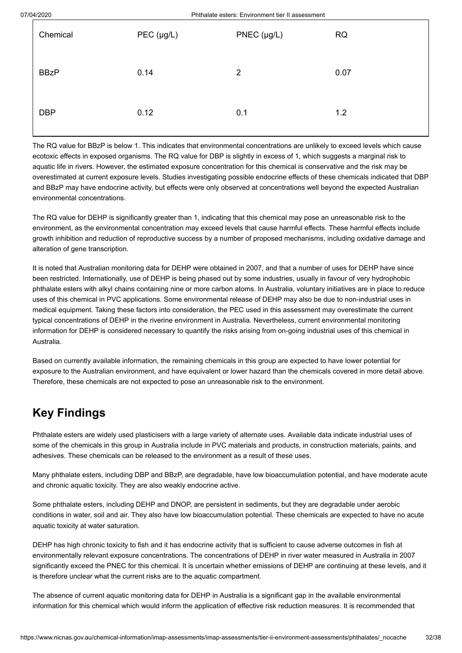| Chemical    | $PEC$ (µg/L) | $PNEC$ (µg/L)  | <b>RQ</b> |
|-------------|--------------|----------------|-----------|
| <b>BBzP</b> | 0.14         | $\overline{2}$ | 0.07      |
| <b>DBP</b>  | 0.12         | 0.1            | 1.2       |

The RQ value for BBzP is below 1. This indicates that environmental concentrations are unlikely to exceed levels which cause ecotoxic effects in exposed organisms. The RQ value for DBP is slightly in excess of 1, which suggests a marginal risk to aquatic life in rivers. However, the estimated exposure concentration for this chemical is conservative and the risk may be overestimated at current exposure levels. Studies investigating possible endocrine effects of these chemicals indicated that DBP and BBzP may have endocrine activity, but effects were only observed at concentrations well beyond the expected Australian environmental concentrations.

The RQ value for DEHP is significantly greater than 1, indicating that this chemical may pose an unreasonable risk to the environment, as the environmental concentration may exceed levels that cause harmful effects. These harmful effects include growth inhibition and reduction of reproductive success by a number of proposed mechanisms, including oxidative damage and alteration of gene transcription.

It is noted that Australian monitoring data for DEHP were obtained in 2007, and that a number of uses for DEHP have since been restricted. Internationally, use of DEHP is being phased out by some industries, usually in favour of very hydrophobic phthalate esters with alkyl chains containing nine or more carbon atoms. In Australia, voluntary initiatives are in place to reduce uses of this chemical in PVC applications. Some environmental release of DEHP may also be due to non-industrial uses in medical equipment. Taking these factors into consideration, the PEC used in this assessment may overestimate the current typical concentrations of DEHP in the riverine environment in Australia. Nevertheless, current environmental monitoring information for DEHP is considered necessary to quantify the risks arising from on-going industrial uses of this chemical in Australia.

Based on currently available information, the remaining chemicals in this group are expected to have lower potential for exposure to the Australian environment, and have equivalent or lower hazard than the chemicals covered in more detail above. Therefore, these chemicals are not expected to pose an unreasonable risk to the environment.

# <span id="page-31-0"></span>**Key Findings**

Phthalate esters are widely used plasticisers with a large variety of alternate uses. Available data indicate industrial uses of some of the chemicals in this group in Australia include in PVC materials and products, in construction materials, paints, and adhesives. These chemicals can be released to the environment as a result of these uses.

Many phthalate esters, including DBP and BBzP, are degradable, have low bioaccumulation potential, and have moderate acute and chronic aquatic toxicity. They are also weakly endocrine active.

Some phthalate esters, including DEHP and DNOP, are persistent in sediments, but they are degradable under aerobic conditions in water, soil and air. They also have low bioaccumulation potential. These chemicals are expected to have no acute aquatic toxicity at water saturation.

DEHP has high chronic toxicity to fish and it has endocrine activity that is sufficient to cause adverse outcomes in fish at environmentally relevant exposure concentrations. The concentrations of DEHP in river water measured in Australia in 2007 significantly exceed the PNEC for this chemical. It is uncertain whether emissions of DEHP are continuing at these levels, and it is therefore unclear what the current risks are to the aquatic compartment.

The absence of current aquatic monitoring data for DEHP in Australia is a significant gap in the available environmental information for this chemical which would inform the application of effective risk reduction measures. It is recommended that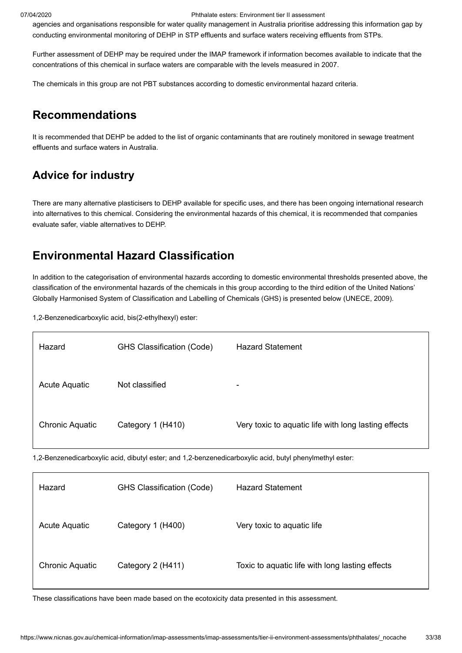agencies and organisations responsible for water quality management in Australia prioritise addressing this information gap by conducting environmental monitoring of DEHP in STP effluents and surface waters receiving effluents from STPs.

Further assessment of DEHP may be required under the IMAP framework if information becomes available to indicate that the concentrations of this chemical in surface waters are comparable with the levels measured in 2007.

The chemicals in this group are not PBT substances according to domestic environmental hazard criteria.

## <span id="page-32-0"></span>**Recommendations**

It is recommended that DEHP be added to the list of organic contaminants that are routinely monitored in sewage treatment effluents and surface waters in Australia.

# **Advice for industry**

There are many alternative plasticisers to DEHP available for specific uses, and there has been ongoing international research into alternatives to this chemical. Considering the environmental hazards of this chemical, it is recommended that companies evaluate safer, viable alternatives to DEHP.

## <span id="page-32-1"></span>**Environmental Hazard Classification**

In addition to the categorisation of environmental hazards according to domestic environmental thresholds presented above, the classification of the environmental hazards of the chemicals in this group according to the third edition of the United Nations' Globally Harmonised System of Classification and Labelling of Chemicals (GHS) is presented below ([UNECE, 2009\)](#page-36-21).

1,2-Benzenedicarboxylic acid, bis(2-ethylhexyl) ester:

| Hazard                 | <b>GHS Classification (Code)</b> | <b>Hazard Statement</b>                              |
|------------------------|----------------------------------|------------------------------------------------------|
| Acute Aquatic          | Not classified                   | $\overline{\phantom{0}}$                             |
| <b>Chronic Aquatic</b> | Category 1 (H410)                | Very toxic to aquatic life with long lasting effects |

1,2-Benzenedicarboxylic acid, dibutyl ester; and 1,2-benzenedicarboxylic acid, butyl phenylmethyl ester:

| Hazard                 | <b>GHS Classification (Code)</b> | <b>Hazard Statement</b>                         |
|------------------------|----------------------------------|-------------------------------------------------|
| Acute Aquatic          | Category 1 (H400)                | Very toxic to aquatic life                      |
| <b>Chronic Aquatic</b> | Category 2 (H411)                | Toxic to aquatic life with long lasting effects |

These classifications have been made based on the ecotoxicity data presented in this assessment.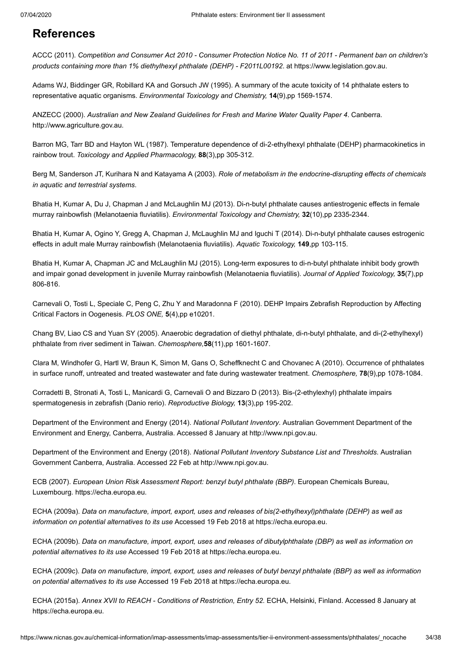## <span id="page-33-0"></span>**References**

<span id="page-33-1"></span>ACCC (2011). *Competition and Consumer Act 2010 - Consumer Protection Notice No. 11 of 2011 - Permanent ban on children's products containing more than 1% diethylhexyl phthalate (DEHP) - F2011L00192*. at [https://www.legislation.gov.au.](https://www.legislation.gov.au/Details/F2011L00192)

<span id="page-33-19"></span>Adams WJ, Biddinger GR, Robillard KA and Gorsuch JW (1995). A summary of the acute toxicity of 14 phthalate esters to representative aquatic organisms. *Environmental Toxicology and Chemistry,* **14**(9),pp 1569-1574.

<span id="page-33-6"></span>ANZECC (2000). *Australian and New Zealand Guidelines for Fresh and Marine Water Quality Paper 4*. Canberra. [http://www.agriculture.gov.au.](http://www.agriculture.gov.au/SiteCollectionDocuments/water/nwqms-guidelines-4-vol1.pdf)

<span id="page-33-11"></span>Barron MG, Tarr BD and Hayton WL (1987). Temperature dependence of di-2-ethylhexyl phthalate (DEHP) pharmacokinetics in rainbow trout. *Toxicology and Applied Pharmacology,* **88**(3),pp 305-312.

<span id="page-33-12"></span>Berg M, Sanderson JT, Kurihara N and Katayama A (2003). *Role of metabolism in the endocrine-disrupting effects of chemicals in aquatic and terrestrial systems*.

<span id="page-33-16"></span>Bhatia H, Kumar A, Du J, Chapman J and McLaughlin MJ (2013). Di-n-butyl phthalate causes antiestrogenic effects in female murray rainbowfish (Melanotaenia fluviatilis). *Environmental Toxicology and Chemistry,* **32**(10),pp 2335-2344.

<span id="page-33-17"></span>Bhatia H, Kumar A, Ogino Y, Gregg A, Chapman J, McLaughlin MJ and Iguchi T (2014). Di-n-butyl phthalate causes estrogenic effects in adult male Murray rainbowfish (Melanotaenia fluviatilis). *Aquatic Toxicology,* **149**,pp 103-115.

<span id="page-33-18"></span>Bhatia H, Kumar A, Chapman JC and McLaughlin MJ (2015). Long-term exposures to di-n-butyl phthalate inhibit body growth and impair gonad development in juvenile Murray rainbowfish (Melanotaenia fluviatilis). *Journal of Applied Toxicology,* **35**(7),pp 806-816.

<span id="page-33-14"></span>Carnevali O, Tosti L, Speciale C, Peng C, Zhu Y and Maradonna F (2010). DEHP Impairs Zebrafish Reproduction by Affecting Critical Factors in Oogenesis. *PLOS ONE,* **5**(4),pp e10201.

<span id="page-33-9"></span>Chang BV, Liao CS and Yuan SY (2005). Anaerobic degradation of diethyl phthalate, di-n-butyl phthalate, and di-(2-ethylhexyl) phthalate from river sediment in Taiwan. *Chemosphere,***58**(11),pp 1601-1607.

<span id="page-33-13"></span>Clara M, Windhofer G, Hartl W, Braun K, Simon M, Gans O, Scheffknecht C and Chovanec A (2010). Occurrence of phthalates in surface runoff, untreated and treated wastewater and fate during wastewater treatment. *Chemosphere,* **78**(9),pp 1078-1084.

<span id="page-33-15"></span>Corradetti B, Stronati A, Tosti L, Manicardi G, Carnevali O and Bizzaro D (2013). Bis-(2-ethylexhyl) phthalate impairs spermatogenesis in zebrafish (Danio rerio). *Reproductive Biology,* **13**(3),pp 195-202.

<span id="page-33-8"></span>Department of the Environment and Energy (2014). *National Pollutant Inventory*. Australian Government Department of the Environment and Energy, Canberra, Australia. Accessed 8 January at [http://www.npi.gov.au.](http://www.npi.gov.au/)

<span id="page-33-5"></span>Department of the Environment and Energy (2018). *National Pollutant Inventory Substance List and Thresholds*. Australian Government Canberra, Australia. Accessed 22 Feb at [http://www.npi.gov.au.](http://www.npi.gov.au/substances/substance-list-and-thresholds)

<span id="page-33-10"></span>ECB (2007). *European Union Risk Assessment Report: benzyl butyl phthalate (BBP)*. European Chemicals Bureau, Luxembourg. [https://echa.europa.eu.](https://echa.europa.eu/documents/10162/bad5c928-93a5-4592-a4f6-e02c5e89c299)

<span id="page-33-2"></span>ECHA (2009a). *Data on manufacture, import, export, uses and releases of bis(2-ethylhexyl)phthalate (DEHP) as well as information on potential alternatives to its use* Accessed 19 Feb 2018 at [https://echa.europa.eu](https://echa.europa.eu/documents/10162/13640/tech_rep_dehp_en.pdf).

<span id="page-33-3"></span>ECHA (2009b). *Data on manufacture, import, export, uses and releases of dibutylphthalate (DBP) as well as information on potential alternatives to its use* Accessed 19 Feb 2018 at [https://echa.europa.eu.](https://echa.europa.eu/documents/10162/13640/tech_rep_dehp_en.pdf)

<span id="page-33-4"></span>ECHA (2009c). *Data on manufacture, import, export, uses and releases of butyl benzyl phthalate (BBP) as well as information on potential alternatives to its use* Accessed 19 Feb 2018 at [https://echa.europa.eu](https://echa.europa.eu/documents/10162/13640/tech_rep_dehp_en.pdf).

<span id="page-33-7"></span>ECHA (2015a). *Annex XVII to REACH - Conditions of Restriction, Entry 52*. ECHA, Helsinki, Finland. Accessed 8 January at [https://echa.europa.eu](https://echa.europa.eu/documents/10162/57096439-2ddd-4f14-b832-85181a09f595).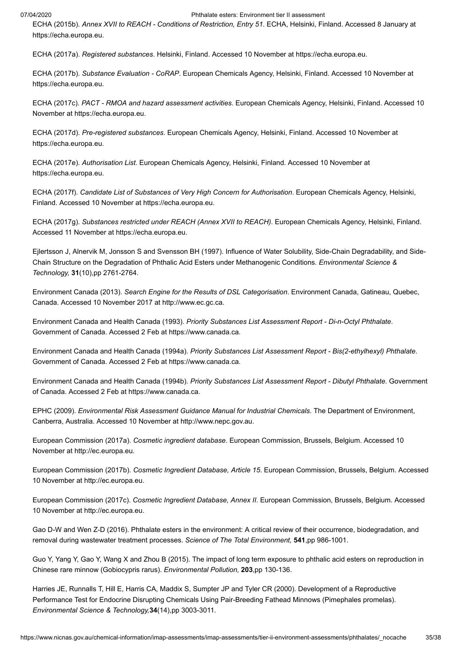<span id="page-34-9"></span>ECHA (2015b). *Annex XVII to REACH - Conditions of Restriction, Entry 51*. ECHA, Helsinki, Finland. Accessed 8 January at [https://echa.europa.eu](https://echa.europa.eu/documents/10162/0e5f0f56-f1c1-4c13-86d2-6ede98a1f85f).

<span id="page-34-11"></span>ECHA (2017a). *Registered substances*. Helsinki, Finland. Accessed 10 November at [https://echa.europa.eu.](https://echa.europa.eu/information-on-chemicals/registered-substances)

<span id="page-34-13"></span>ECHA (2017b). *Substance Evaluation - CoRAP*. European Chemicals Agency, Helsinki, Finland. Accessed 10 November at [https://echa.europa.eu](https://echa.europa.eu/information-on-chemicals/evaluation/community-rolling-action-plan/corap-table).

<span id="page-34-14"></span>ECHA (2017c). *PACT - RMOA and hazard assessment activities*. European Chemicals Agency, Helsinki, Finland. Accessed 10 November at [https://echa.europa.eu](https://echa.europa.eu/pact).

<span id="page-34-12"></span>ECHA (2017d). *Pre-registered substances*. European Chemicals Agency, Helsinki, Finland. Accessed 10 November at [https://echa.europa.eu](https://echa.europa.eu/information-on-chemicals/pre-registered-substances).

<span id="page-34-8"></span>ECHA (2017e). *Authorisation List*. European Chemicals Agency, Helsinki, Finland. Accessed 10 November at [https://echa.europa.eu](https://echa.europa.eu/authorisation-list).

<span id="page-34-7"></span>ECHA (2017f). *Candidate List of Substances of Very High Concern for Authorisation*. European Chemicals Agency, Helsinki, Finland. Accessed 10 November at [https://echa.europa.eu.](https://echa.europa.eu/candidate-list-table)

<span id="page-34-10"></span>ECHA (2017g). *Substances restricted under REACH (Annex XVII to REACH)*. European Chemicals Agency, Helsinki, Finland. Accessed 11 November at [https://echa.europa.eu](https://echa.europa.eu/substances-restricted-under-reach).

<span id="page-34-16"></span>Ejlertsson J, Alnervik M, Jonsson S and Svensson BH (1997). Influence of Water Solubility, Side-Chain Degradability, and Side-Chain Structure on the Degradation of Phthalic Acid Esters under Methanogenic Conditions. *Environmental Science & Technology,* **31**(10),pp 2761-2764.

<span id="page-34-6"></span>Environment Canada (2013). *Search Engine for the Results of DSL Categorisation*. Environment Canada, Gatineau, Quebec, Canada. Accessed 10 November 2017 at [http://www.ec.gc.ca.](http://www.ec.gc.ca/lcpe-cepa/default.asp?lang=En&n=5F213FA8-1&wsdoc=D031CB30-B31B-D54C-0E46-37E32D526A1F)

<span id="page-34-3"></span>Environment Canada and Health Canada (1993). *Priority Substances List Assessment Report - Di-n-Octyl Phthalate*. Government of Canada. Accessed 2 Feb at [https://www.canada.ca.](https://www.canada.ca/content/dam/hc-sc/migration/hc-sc/ewh-semt/alt_formats/hecs-sesc/pdf/pubs/contaminants/psl1-lsp1/dinoctylphthalate-phtalatedioctyle/octyl_phthalate-eng.pdf)

<span id="page-34-5"></span>Environment Canada and Health Canada (1994a). *Priority Substances List Assessment Report - Bis(2-ethylhexyl) Phthalate*. Government of Canada. Accessed 2 Feb at [https://www.canada.ca.](https://www.canada.ca/content/dam/hc-sc/migration/hc-sc/ewh-semt/alt_formats/hecs-sesc/pdf/pubs/contaminants/psl1-lsp1/dinoctylphthalate-phtalatedioctyle/octyl_phthalate-eng.pdf)

<span id="page-34-4"></span>Environment Canada and Health Canada (1994b). *Priority Substances List Assessment Report - Dibutyl Phthalate*. Government of Canada. Accessed 2 Feb at [https://www.canada.ca.](https://www.canada.ca/content/dam/hc-sc/migration/hc-sc/ewh-semt/alt_formats/hecs-sesc/pdf/pubs/contaminants/psl1-lsp1/dinoctylphthalate-phtalatedioctyle/octyl_phthalate-eng.pdf)

<span id="page-34-19"></span>EPHC (2009). *Environmental Risk Assessment Guidance Manual for Industrial Chemicals*. The Department of Environment, Canberra, Australia. Accessed 10 November at [http://www.nepc.gov.au](http://www.nepc.gov.au/resource/chemical-risk-assessment-guidance-manuals).

<span id="page-34-2"></span>European Commission (2017a). *Cosmetic ingredient database*. European Commission, Brussels, Belgium. Accessed 10 November at [http://ec.europa.eu](http://ec.europa.eu/growth/sectors/cosmetics/cosing).

<span id="page-34-1"></span>European Commission (2017b). *Cosmetic Ingredient Database, Article 15*. European Commission, Brussels, Belgium. Accessed 10 November at [http://ec.europa.eu.](http://ec.europa.eu/growth/tools-databases/cosing/index.cfm?fuseaction=search.results&annex_v2=Article%2015&search)

<span id="page-34-0"></span>European Commission (2017c). *Cosmetic Ingredient Database, Annex II*. European Commission, Brussels, Belgium. Accessed 10 November at [http://ec.europa.eu.](http://ec.europa.eu/growth/tools-databases/cosing/index.cfm?fuseaction=search.results&annex_v2=II&search)

<span id="page-34-15"></span>Gao D-W and Wen Z-D (2016). Phthalate esters in the environment: A critical review of their occurrence, biodegradation, and removal during wastewater treatment processes. *Science of The Total Environment,* **541**,pp 986-1001.

<span id="page-34-17"></span>Guo Y, Yang Y, Gao Y, Wang X and Zhou B (2015). The impact of long term exposure to phthalic acid esters on reproduction in Chinese rare minnow (Gobiocypris rarus). *Environmental Pollution,* **203**,pp 130-136.

<span id="page-34-18"></span>Harries JE, Runnalls T, Hill E, Harris CA, Maddix S, Sumpter JP and Tyler CR (2000). Development of a Reproductive Performance Test for Endocrine Disrupting Chemicals Using Pair-Breeding Fathead Minnows (Pimephales promelas). *Environmental Science & Technology,***34**(14),pp 3003-3011.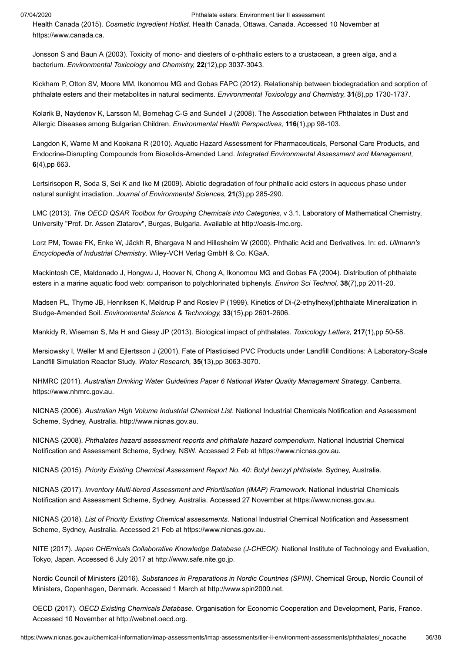<span id="page-35-5"></span>Health Canada (2015). *Cosmetic Ingredient Hotlist*. Health Canada, Ottawa, Canada. Accessed 10 November at [https://www.canada.ca](https://www.canada.ca/en/health-canada/services/consumer-product-safety/cosmetics/cosmetic-ingredient-hotlist-prohibited-restricted-ingredients/hotlist.html#L).

<span id="page-35-16"></span>Jonsson S and Baun A (2003). Toxicity of mono- and diesters of o-phthalic esters to a crustacean, a green alga, and a bacterium. *Environmental Toxicology and Chemistry,* **22**(12),pp 3037-3043.

<span id="page-35-12"></span>Kickham P, Otton SV, Moore MM, Ikonomou MG and Gobas FAPC (2012). Relationship between biodegradation and sorption of phthalate esters and their metabolites in natural sediments. *Environmental Toxicology and Chemistry,* **31**(8),pp 1730-1737.

<span id="page-35-10"></span>Kolarik B, Naydenov K, Larsson M, Bornehag C-G and Sundell J (2008). The Association between Phthalates in Dust and Allergic Diseases among Bulgarian Children. *Environmental Health Perspectives,* **116**(1),pp 98-103.

<span id="page-35-15"></span>Langdon K, Warne M and Kookana R (2010). Aquatic Hazard Assessment for Pharmaceuticals, Personal Care Products, and Endocrine-Disrupting Compounds from Biosolids-Amended Land. *Integrated Environmental Assessment and Management,* **6**(4),pp 663.

<span id="page-35-11"></span>Lertsirisopon R, Soda S, Sei K and Ike M (2009). Abiotic degradation of four phthalic acid esters in aqueous phase under natural sunlight irradiation. *Journal of Environmental Sciences,* **21**(3),pp 285-290.

<span id="page-35-0"></span>LMC (2013). *The OECD QSAR Toolbox for Grouping Chemicals into Categories*, v 3.1. Laboratory of Mathematical Chemistry, University "Prof. Dr. Assen Zlatarov", Burgas, Bulgaria. Available at [http://oasis-lmc.org](http://oasis-lmc.org/).

<span id="page-35-4"></span>Lorz PM, Towae FK, Enke W, Jäckh R, Bhargava N and Hillesheim W (2000). Phthalic Acid and Derivatives. In: ed. *Ullmann's Encyclopedia of Industrial Chemistry*. Wiley-VCH Verlag GmbH & Co. KGaA.

<span id="page-35-14"></span>Mackintosh CE, Maldonado J, Hongwu J, Hoover N, Chong A, Ikonomou MG and Gobas FA (2004). Distribution of phthalate esters in a marine aquatic food web: comparison to polychlorinated biphenyls. *Environ Sci Technol,* **38**(7),pp 2011-20.

<span id="page-35-13"></span>Madsen PL, Thyme JB, Henriksen K, Møldrup P and Roslev P (1999). Kinetics of Di-(2-ethylhexyl)phthalate Mineralization in Sludge-Amended Soil. *Environmental Science & Technology,* **33**(15),pp 2601-2606.

<span id="page-35-17"></span>Mankidy R, Wiseman S, Ma H and Giesy JP (2013). Biological impact of phthalates. *Toxicology Letters,* **217**(1),pp 50-58.

<span id="page-35-9"></span>Mersiowsky I, Weller M and Ejlertsson J (2001). Fate of Plasticised PVC Products under Landfill Conditions: A Laboratory-Scale Landfill Simulation Reactor Study. *Water Research,* **35**(13),pp 3063-3070.

<span id="page-35-7"></span>NHMRC (2011). *Australian Drinking Water Guidelines Paper 6 National Water Quality Management Strategy*. Canberra. [https://www.nhmrc.gov.au.](https://www.nhmrc.gov.au/_files_nhmrc/file/publications/nhmrc_adwg_6_version_3.4_final.pdf)

<span id="page-35-2"></span>NICNAS (2006). *Australian High Volume Industrial Chemical List*. National Industrial Chemicals Notification and Assessment Scheme, Sydney, Australia. [http://www.nicnas.gov.au.](http://www.nicnas.gov.au/__data/assets/pdf_file/0019/6661/NICNAS_AHVICL_2006_PDF.pdf)

<span id="page-35-18"></span>NICNAS (2008). *Phthalates hazard assessment reports and phthalate hazard compendium*. National Industrial Chemical Notification and Assessment Scheme, Sydney, NSW. Accessed 2 Feb at [https://www.nicnas.gov.au.](https://www.nicnas.gov.au/chemical-information/other-assessments/reports/phthalates-hazard-assessments)

<span id="page-35-19"></span>NICNAS (2015). *Priority Existing Chemical Assessment Report No. 40: Butyl benzyl phthalate*. Sydney, Australia.

<span id="page-35-20"></span>NICNAS (2017). *Inventory Multi-tiered Assessment and Prioritisation (IMAP) Framework*. National Industrial Chemicals Notification and Assessment Scheme, Sydney, Australia. Accessed 27 November at [https://www.nicnas.gov.au](https://www.nicnas.gov.au/chemical-information/imap-assessments).

<span id="page-35-1"></span>NICNAS (2018). *List of Priority Existing Chemical assessments*. National Industrial Chemical Notification and Assessment Scheme, Sydney, Australia. Accessed 21 Feb at [https://www.nicnas.gov.au.](https://www.nicnas.gov.au/chemical-information/pec-assessments)

<span id="page-35-6"></span>NITE (2017). *Japan CHEmicals Collaborative Knowledge Database (J-CHECK)*. National Institute of Technology and Evaluation, Tokyo, Japan. Accessed 6 July 2017 at [http://www.safe.nite.go.jp](http://www.safe.nite.go.jp/jcheck/search.action?request_locale=en).

<span id="page-35-3"></span>Nordic Council of Ministers (2016). *Substances in Preparations in Nordic Countries (SPIN)*. Chemical Group, Nordic Council of Ministers, Copenhagen, Denmark. Accessed 1 March at [http://www.spin2000.net](http://www.spin2000.net/spinmyphp).

<span id="page-35-8"></span>OECD (2017). *OECD Existing Chemicals Database*. Organisation for Economic Cooperation and Development, Paris, France. Accessed 10 November at [http://webnet.oecd.org](http://webnet.oecd.org/Hpv/UI/Search.aspx).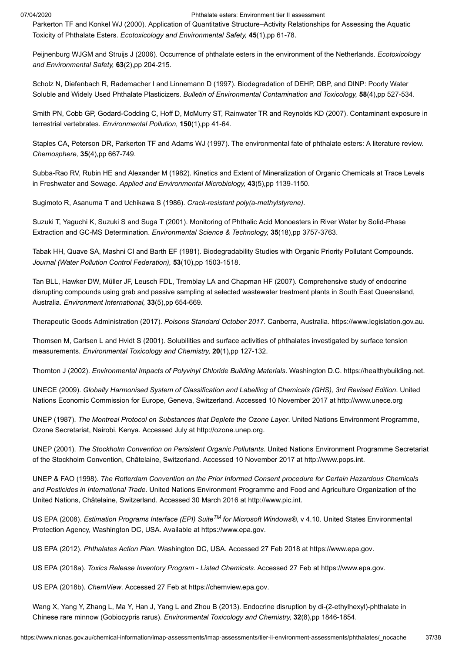<span id="page-36-18"></span>Parkerton TF and Konkel WJ (2000). Application of Quantitative Structure–Activity Relationships for Assessing the Aquatic Toxicity of Phthalate Esters. *Ecotoxicology and Environmental Safety,* **45**(1),pp 61-78.

<span id="page-36-15"></span>Peijnenburg WJGM and Struijs J (2006). Occurrence of phthalate esters in the environment of the Netherlands. *Ecotoxicology and Environmental Safety,* **63**(2),pp 204-215.

<span id="page-36-11"></span>Scholz N, Diefenbach R, Rademacher I and Linnemann D (1997). Biodegradation of DEHP, DBP, and DINP: Poorly Water Soluble and Widely Used Phthalate Plasticizers. *Bulletin of Environmental Contamination and Toxicology,* **58**(4),pp 527-534.

<span id="page-36-20"></span>Smith PN, Cobb GP, Godard-Codding C, Hoff D, McMurry ST, Rainwater TR and Reynolds KD (2007). Contaminant exposure in terrestrial vertebrates. *Environmental Pollution,* **150**(1),pp 41-64.

<span id="page-36-14"></span>Staples CA, Peterson DR, Parkerton TF and Adams WJ (1997). The environmental fate of phthalate esters: A literature review. *Chemosphere,* **35**(4),pp 667-749.

<span id="page-36-12"></span>Subba-Rao RV, Rubin HE and Alexander M (1982). Kinetics and Extent of Mineralization of Organic Chemicals at Trace Levels in Freshwater and Sewage. *Applied and Environmental Microbiology,* **43**(5),pp 1139-1150.

<span id="page-36-0"></span>Sugimoto R, Asanuma T and Uchikawa S (1986). *Crack-resistant poly(a-methylstyrene)*.

<span id="page-36-16"></span>Suzuki T, Yaguchi K, Suzuki S and Suga T (2001). Monitoring of Phthalic Acid Monoesters in River Water by Solid-Phase Extraction and GC-MS Determination. *Environmental Science & Technology,* **35**(18),pp 3757-3763.

<span id="page-36-13"></span>Tabak HH, Quave SA, Mashni CI and Barth EF (1981). Biodegradability Studies with Organic Priority Pollutant Compounds. *Journal (Water Pollution Control Federation),* **53**(10),pp 1503-1518.

<span id="page-36-17"></span>Tan BLL, Hawker DW, Müller JF, Leusch FDL, Tremblay LA and Chapman HF (2007). Comprehensive study of endocrine disrupting compounds using grab and passive sampling at selected wastewater treatment plants in South East Queensland, Australia. *Environment International,* **33**(5),pp 654-669.

<span id="page-36-3"></span>Therapeutic Goods Administration (2017). *Poisons Standard October 2017*. Canberra, Australia. [https://www.legislation.gov.au.](https://www.legislation.gov.au/Details/F2017L01285)

<span id="page-36-1"></span>Thomsen M, Carlsen L and Hvidt S (2001). Solubilities and surface activities of phthalates investigated by surface tension measurements. *Environmental Toxicology and Chemistry,* **20**(1),pp 127-132.

<span id="page-36-10"></span>Thornton J (2002). *Environmental Impacts of Polyvinyl Chloride Building Materials*. Washington D.C. [https://healthybuilding.net](https://healthybuilding.net/uploads/files/environmental-impacts-of-polyvinyl-chloride-building-materials.pdf).

<span id="page-36-21"></span>UNECE (2009). *Globally Harmonised System of Classification and Labelling of Chemicals (GHS), 3rd Revised Edition*. United Nations Economic Commission for Europe, Geneva, Switzerland. Accessed 10 November 2017 at [http://www.unece.org](http://www.unece.org/trans/danger/publi/ghs/ghs_rev03/03files_e.html)

<span id="page-36-5"></span>UNEP (1987). *The Montreal Protocol on Substances that Deplete the Ozone Layer*. United Nations Environment Programme, Ozone Secretariat, Nairobi, Kenya. Accessed July at [http://ozone.unep.org.](http://ozone.unep.org/)

<span id="page-36-4"></span>UNEP (2001). *The Stockholm Convention on Persistent Organic Pollutants*. United Nations Environment Programme Secretariat of the Stockholm Convention, Châtelaine, Switzerland. Accessed 10 November 2017 at [http://www.pops.int.](http://www.pops.int/)

<span id="page-36-6"></span>UNEP & FAO (1998). *The Rotterdam Convention on the Prior Informed Consent procedure for Certain Hazardous Chemicals and Pesticides in International Trade*. United Nations Environment Programme and Food and Agriculture Organization of the United Nations, Châtelaine, Switzerland. Accessed 30 March 2016 at [http://www.pic.int](http://www.pic.int/).

<span id="page-36-2"></span>US EPA (2008). *Estimation Programs Interface (EPI) Suite<sup>TM</sup> for Microsoft Windows®, v 4.10. United States Environmental* Protection Agency, Washington DC, USA. Available at [https://www.epa.gov](https://www.epa.gov/tsca-screening-tools/epi-suitetm-estimation-program-interface).

<span id="page-36-7"></span>US EPA (2012). *Phthalates Action Plan*. Washington DC, USA. Accessed 27 Feb 2018 at [https://www.epa.gov.](https://www.epa.gov/sites/production/files/2015-09/documents/phthalates_actionplan_revised_2012-03-14.pdf)

<span id="page-36-9"></span>US EPA (2018a). *Toxics Release Inventory Program - Listed Chemicals*. Accessed 27 Feb at [https://www.epa.gov](https://www.epa.gov/toxics-release-inventory-tri-program/tri-listed-chemicals).

<span id="page-36-8"></span>US EPA (2018b). *ChemView*. Accessed 27 Feb at [https://chemview.epa.gov](https://chemview.epa.gov/chemview).

<span id="page-36-19"></span>Wang X, Yang Y, Zhang L, Ma Y, Han J, Yang L and Zhou B (2013). Endocrine disruption by di-(2-ethylhexyl)-phthalate in Chinese rare minnow (Gobiocypris rarus). *Environmental Toxicology and Chemistry,* **32**(8),pp 1846-1854.